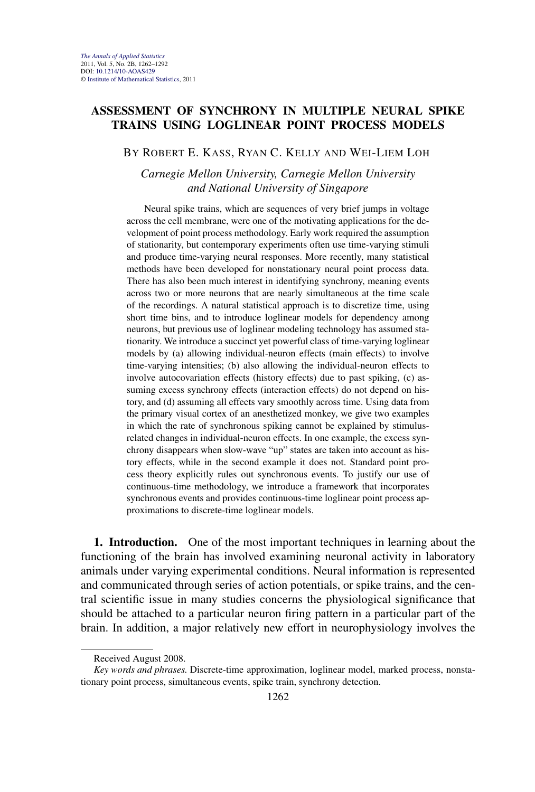# <span id="page-0-0"></span>**ASSESSMENT OF SYNCHRONY IN MULTIPLE NEURAL SPIKE TRAINS USING LOGLINEAR POINT PROCESS MODELS**

### BY ROBERT E. KASS, RYAN C. KELLY AND WEI-LIEM LOH

## *Carnegie Mellon University, Carnegie Mellon University and National University of Singapore*

Neural spike trains, which are sequences of very brief jumps in voltage across the cell membrane, were one of the motivating applications for the development of point process methodology. Early work required the assumption of stationarity, but contemporary experiments often use time-varying stimuli and produce time-varying neural responses. More recently, many statistical methods have been developed for nonstationary neural point process data. There has also been much interest in identifying synchrony, meaning events across two or more neurons that are nearly simultaneous at the time scale of the recordings. A natural statistical approach is to discretize time, using short time bins, and to introduce loglinear models for dependency among neurons, but previous use of loglinear modeling technology has assumed stationarity. We introduce a succinct yet powerful class of time-varying loglinear models by (a) allowing individual-neuron effects (main effects) to involve time-varying intensities; (b) also allowing the individual-neuron effects to involve autocovariation effects (history effects) due to past spiking, (c) assuming excess synchrony effects (interaction effects) do not depend on history, and (d) assuming all effects vary smoothly across time. Using data from the primary visual cortex of an anesthetized monkey, we give two examples in which the rate of synchronous spiking cannot be explained by stimulusrelated changes in individual-neuron effects. In one example, the excess synchrony disappears when slow-wave "up" states are taken into account as history effects, while in the second example it does not. Standard point process theory explicitly rules out synchronous events. To justify our use of continuous-time methodology, we introduce a framework that incorporates synchronous events and provides continuous-time loglinear point process approximations to discrete-time loglinear models.

**1. Introduction.** One of the most important techniques in learning about the functioning of the brain has involved examining neuronal activity in laboratory animals under varying experimental conditions. Neural information is represented and communicated through series of action potentials, or spike trains, and the central scientific issue in many studies concerns the physiological significance that should be attached to a particular neuron firing pattern in a particular part of the brain. In addition, a major relatively new effort in neurophysiology involves the

Received August 2008.

*Key words and phrases.* Discrete-time approximation, loglinear model, marked process, nonstationary point process, simultaneous events, spike train, synchrony detection.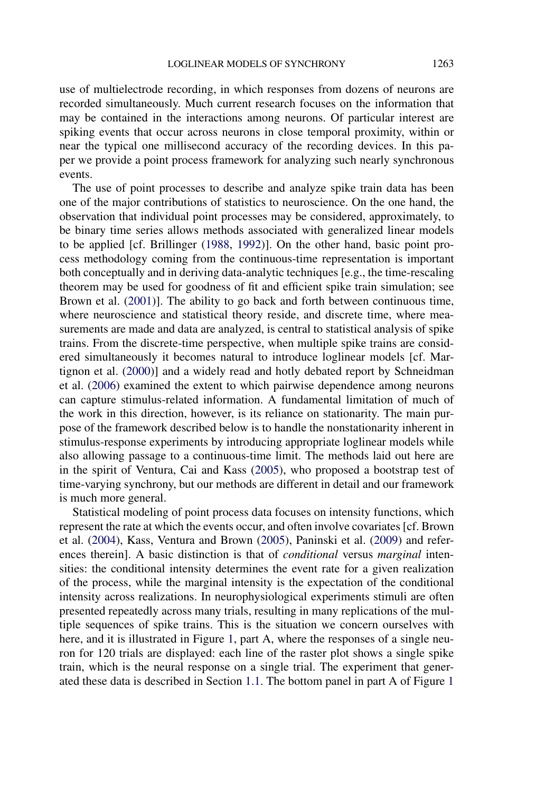use of multielectrode recording, in which responses from dozens of neurons are recorded simultaneously. Much current research focuses on the information that may be contained in the interactions among neurons. Of particular interest are spiking events that occur across neurons in close temporal proximity, within or near the typical one millisecond accuracy of the recording devices. In this paper we provide a point process framework for analyzing such nearly synchronous events.

The use of point processes to describe and analyze spike train data has been one of the major contributions of statistics to neuroscience. On the one hand, the observation that individual point processes may be considered, approximately, to be binary time series allows methods associated with generalized linear models to be applied [cf. Brillinger [\(1988,](#page-29-0) [1992\)](#page-29-0)]. On the other hand, basic point process methodology coming from the continuous-time representation is important both conceptually and in deriving data-analytic techniques [e.g., the time-rescaling theorem may be used for goodness of fit and efficient spike train simulation; see Brown et al. [\(2001\)](#page-29-0)]. The ability to go back and forth between continuous time, where neuroscience and statistical theory reside, and discrete time, where measurements are made and data are analyzed, is central to statistical analysis of spike trains. From the discrete-time perspective, when multiple spike trains are considered simultaneously it becomes natural to introduce loglinear models [cf. Martignon et al. [\(2000\)](#page-29-0)] and a widely read and hotly debated report by Schneidman et al. [\(2006\)](#page-29-0) examined the extent to which pairwise dependence among neurons can capture stimulus-related information. A fundamental limitation of much of the work in this direction, however, is its reliance on stationarity. The main purpose of the framework described below is to handle the nonstationarity inherent in stimulus-response experiments by introducing appropriate loglinear models while also allowing passage to a continuous-time limit. The methods laid out here are in the spirit of Ventura, Cai and Kass [\(2005\)](#page-30-0), who proposed a bootstrap test of time-varying synchrony, but our methods are different in detail and our framework is much more general.

Statistical modeling of point process data focuses on intensity functions, which represent the rate at which the events occur, and often involve covariates [cf. Brown et al. [\(2004\)](#page-29-0), Kass, Ventura and Brown [\(2005\)](#page-29-0), Paninski et al. [\(2009\)](#page-29-0) and references therein]. A basic distinction is that of *conditional* versus *marginal* intensities: the conditional intensity determines the event rate for a given realization of the process, while the marginal intensity is the expectation of the conditional intensity across realizations. In neurophysiological experiments stimuli are often presented repeatedly across many trials, resulting in many replications of the multiple sequences of spike trains. This is the situation we concern ourselves with here, and it is illustrated in Figure [1,](#page-2-0) part A, where the responses of a single neuron for 120 trials are displayed: each line of the raster plot shows a single spike train, which is the neural response on a single trial. The experiment that generated these data is described in Section [1.1.](#page-3-0) The bottom panel in part A of Figure [1](#page-2-0)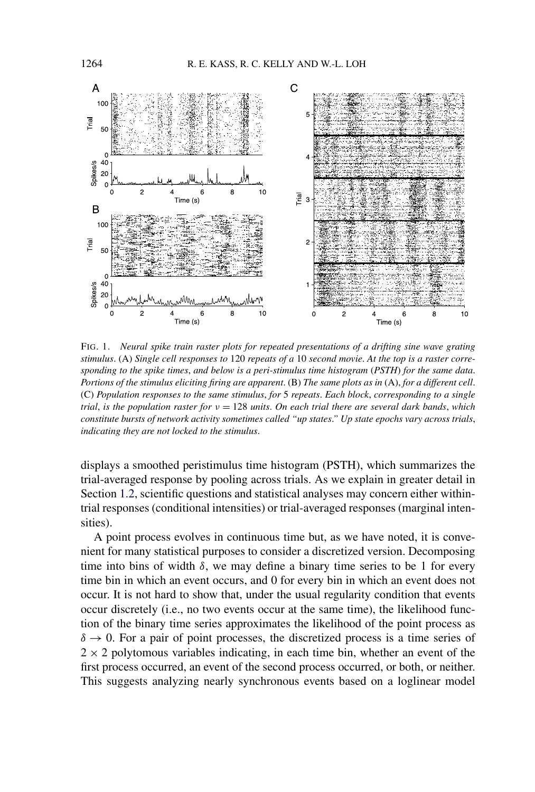<span id="page-2-0"></span>

FIG. 1. *Neural spike train raster plots for repeated presentations of a drifting sine wave grating stimulus*. (A) *Single cell responses to* 120 *repeats of a* 10 *second movie*. *At the top is a raster corresponding to the spike times*, *and below is a peri-stimulus time histogram* (*PSTH*) *for the same data*. *Portions of the stimulus eliciting firing are apparent*. (B) *The same plots as in* (A), *for a different cell*. (C) *Population responses to the same stimulus*, *for* 5 *repeats*. *Each block*, *corresponding to a single trial*, *is the population raster for ν* = 128 *units*. *On each trial there are several dark bands*, *which constitute bursts of network activity sometimes called "up states*.*" Up state epochs vary across trials*, *indicating they are not locked to the stimulus*.

displays a smoothed peristimulus time histogram (PSTH), which summarizes the trial-averaged response by pooling across trials. As we explain in greater detail in Section [1.2,](#page-4-0) scientific questions and statistical analyses may concern either withintrial responses (conditional intensities) or trial-averaged responses (marginal intensities).

A point process evolves in continuous time but, as we have noted, it is convenient for many statistical purposes to consider a discretized version. Decomposing time into bins of width  $\delta$ , we may define a binary time series to be 1 for every time bin in which an event occurs, and 0 for every bin in which an event does not occur. It is not hard to show that, under the usual regularity condition that events occur discretely (i.e., no two events occur at the same time), the likelihood function of the binary time series approximates the likelihood of the point process as  $\delta \rightarrow 0$ . For a pair of point processes, the discretized process is a time series of  $2 \times 2$  polytomous variables indicating, in each time bin, whether an event of the first process occurred, an event of the second process occurred, or both, or neither. This suggests analyzing nearly synchronous events based on a loglinear model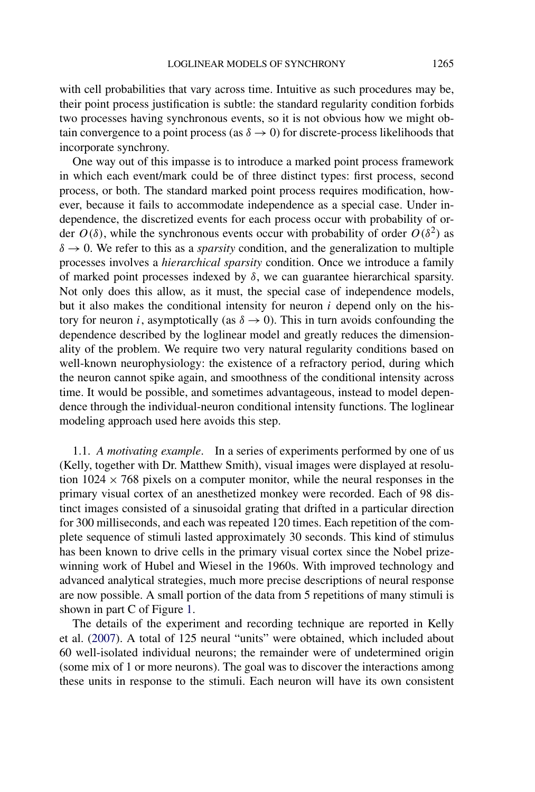<span id="page-3-0"></span>with cell probabilities that vary across time. Intuitive as such procedures may be, their point process justification is subtle: the standard regularity condition forbids two processes having synchronous events, so it is not obvious how we might obtain convergence to a point process (as  $\delta \rightarrow 0$ ) for discrete-process likelihoods that incorporate synchrony.

One way out of this impasse is to introduce a marked point process framework in which each event/mark could be of three distinct types: first process, second process, or both. The standard marked point process requires modification, however, because it fails to accommodate independence as a special case. Under independence, the discretized events for each process occur with probability of order  $O(\delta)$ , while the synchronous events occur with probability of order  $O(\delta^2)$  as  $\delta \rightarrow 0$ . We refer to this as a *sparsity* condition, and the generalization to multiple processes involves a *hierarchical sparsity* condition. Once we introduce a family of marked point processes indexed by *δ*, we can guarantee hierarchical sparsity. Not only does this allow, as it must, the special case of independence models, but it also makes the conditional intensity for neuron *i* depend only on the history for neuron *i*, asymptotically (as  $\delta \rightarrow 0$ ). This in turn avoids confounding the dependence described by the loglinear model and greatly reduces the dimensionality of the problem. We require two very natural regularity conditions based on well-known neurophysiology: the existence of a refractory period, during which the neuron cannot spike again, and smoothness of the conditional intensity across time. It would be possible, and sometimes advantageous, instead to model dependence through the individual-neuron conditional intensity functions. The loglinear modeling approach used here avoids this step.

1.1. *A motivating example*. In a series of experiments performed by one of us (Kelly, together with Dr. Matthew Smith), visual images were displayed at resolution  $1024 \times 768$  pixels on a computer monitor, while the neural responses in the primary visual cortex of an anesthetized monkey were recorded. Each of 98 distinct images consisted of a sinusoidal grating that drifted in a particular direction for 300 milliseconds, and each was repeated 120 times. Each repetition of the complete sequence of stimuli lasted approximately 30 seconds. This kind of stimulus has been known to drive cells in the primary visual cortex since the Nobel prizewinning work of Hubel and Wiesel in the 1960s. With improved technology and advanced analytical strategies, much more precise descriptions of neural response are now possible. A small portion of the data from 5 repetitions of many stimuli is shown in part C of Figure [1.](#page-2-0)

The details of the experiment and recording technique are reported in Kelly et al. [\(2007\)](#page-29-0). A total of 125 neural "units" were obtained, which included about 60 well-isolated individual neurons; the remainder were of undetermined origin (some mix of 1 or more neurons). The goal was to discover the interactions among these units in response to the stimuli. Each neuron will have its own consistent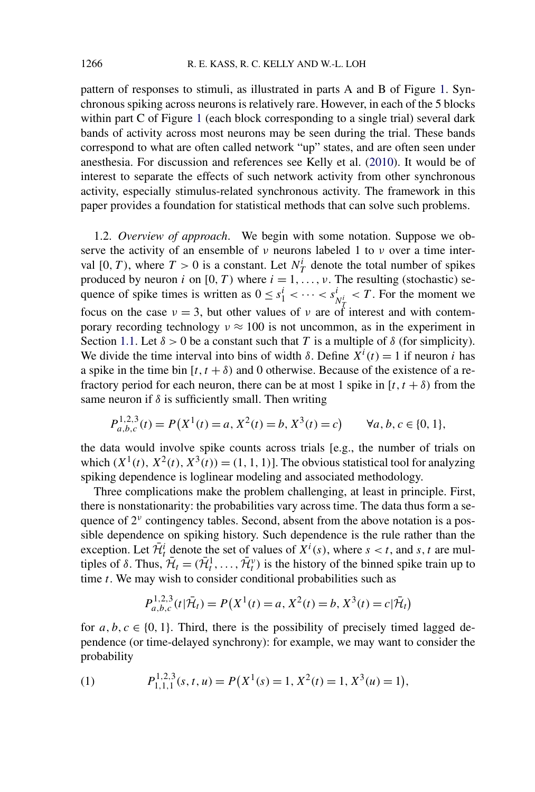<span id="page-4-0"></span>pattern of responses to stimuli, as illustrated in parts A and B of Figure [1.](#page-2-0) Synchronous spiking across neurons is relatively rare. However, in each of the 5 blocks within part C of Figure [1](#page-2-0) (each block corresponding to a single trial) several dark bands of activity across most neurons may be seen during the trial. These bands correspond to what are often called network "up" states, and are often seen under anesthesia. For discussion and references see Kelly et al. [\(2010\)](#page-29-0). It would be of interest to separate the effects of such network activity from other synchronous activity, especially stimulus-related synchronous activity. The framework in this paper provides a foundation for statistical methods that can solve such problems.

1.2. *Overview of approach*. We begin with some notation. Suppose we observe the activity of an ensemble of *ν* neurons labeled 1 to *ν* over a time interval [0, T), where  $T > 0$  is a constant. Let  $N_T^i$  denote the total number of spikes produced by neuron *i* on  $[0, T)$  where  $i = 1, \ldots, \nu$ . The resulting (stochastic) sequence of spike times is written as  $0 \le s_1^i < \cdots < s_{N_T^i}^i < T$ . For the moment we focus on the case  $\nu = 3$ , but other values of  $\nu$  are of interest and with contemporary recording technology  $v \approx 100$  is not uncommon, as in the experiment in Section [1.1.](#page-3-0) Let  $\delta > 0$  be a constant such that *T* is a multiple of  $\delta$  (for simplicity). We divide the time interval into bins of width  $\delta$ . Define  $X^{i}(t) = 1$  if neuron *i* has a spike in the time bin  $[t, t + \delta)$  and 0 otherwise. Because of the existence of a refractory period for each neuron, there can be at most 1 spike in  $[t, t + \delta)$  from the same neuron if  $\delta$  is sufficiently small. Then writing

$$
P_{a,b,c}^{1,2,3}(t) = P(X^1(t) = a, X^2(t) = b, X^3(t) = c) \qquad \forall a, b, c \in \{0, 1\},\
$$

the data would involve spike counts across trials [e.g., the number of trials on which  $(X^1(t), X^2(t), X^3(t)) = (1, 1, 1)$ . The obvious statistical tool for analyzing spiking dependence is loglinear modeling and associated methodology.

Three complications make the problem challenging, at least in principle. First, there is nonstationarity: the probabilities vary across time. The data thus form a sequence of  $2^{\nu}$  contingency tables. Second, absent from the above notation is a possible dependence on spiking history. Such dependence is the rule rather than the exception. Let  $\mathcal{H}^i_t$  denote the set of values of  $\hat{X}^i(s)$ , where  $s < t$ , and  $s, t$  are multiples of  $\delta$ . Thus,  $\bar{\mathcal{H}}_t = (\bar{\mathcal{H}}_t^1, \dots, \bar{\mathcal{H}}_t^v)$  is the history of the binned spike train up to time *t*. We may wish to consider conditional probabilities such as

$$
P_{a,b,c}^{1,2,3}(t|\bar{\mathcal{H}}_t) = P(X^1(t) = a, X^2(t) = b, X^3(t) = c|\bar{\mathcal{H}}_t)
$$

for  $a, b, c \in \{0, 1\}$ . Third, there is the possibility of precisely timed lagged dependence (or time-delayed synchrony): for example, we may want to consider the probability

(1) 
$$
P_{1,1,1}^{1,2,3}(s,t,u) = P(X^1(s) = 1, X^2(t) = 1, X^3(u) = 1),
$$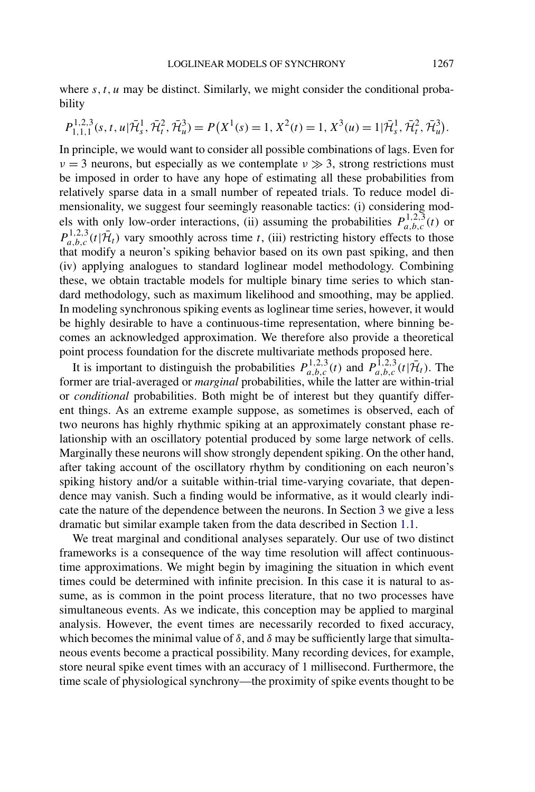where  $s, t, u$  may be distinct. Similarly, we might consider the conditional probability

$$
P_{1,1,1}^{1,2,3}(s,t,u|\bar{\mathcal{H}}_s^1,\bar{\mathcal{H}}_t^2,\bar{\mathcal{H}}_u^3) = P(X^1(s) = 1, X^2(t) = 1, X^3(u) = 1|\bar{\mathcal{H}}_s^1,\bar{\mathcal{H}}_t^2,\bar{\mathcal{H}}_u^3).
$$

In principle, we would want to consider all possible combinations of lags. Even for *ν* = 3 neurons, but especially as we contemplate *ν*  $\gg$  3, strong restrictions must be imposed in order to have any hope of estimating all these probabilities from relatively sparse data in a small number of repeated trials. To reduce model dimensionality, we suggest four seemingly reasonable tactics: (i) considering models with only low-order interactions, (ii) assuming the probabilities  $P_{a,b,c}^{1,2,3}(t)$  or  $P_{a,b,c}^{1,2,3}(t|\bar{\mathcal{H}}_t)$  vary smoothly across time *t*, (iii) restricting history effects to those that modify a neuron's spiking behavior based on its own past spiking, and then (iv) applying analogues to standard loglinear model methodology. Combining these, we obtain tractable models for multiple binary time series to which standard methodology, such as maximum likelihood and smoothing, may be applied. In modeling synchronous spiking events as loglinear time series, however, it would be highly desirable to have a continuous-time representation, where binning becomes an acknowledged approximation. We therefore also provide a theoretical point process foundation for the discrete multivariate methods proposed here.

It is important to distinguish the probabilities  $P_{a,b,c}^{1,2,3}(t)$  and  $P_{a,b,c}^{1,2,3}(t|\mathcal{H}_t)$ . The former are trial-averaged or *marginal* probabilities, while the latter are within-trial or *conditional* probabilities. Both might be of interest but they quantify different things. As an extreme example suppose, as sometimes is observed, each of two neurons has highly rhythmic spiking at an approximately constant phase relationship with an oscillatory potential produced by some large network of cells. Marginally these neurons will show strongly dependent spiking. On the other hand, after taking account of the oscillatory rhythm by conditioning on each neuron's spiking history and/or a suitable within-trial time-varying covariate, that dependence may vanish. Such a finding would be informative, as it would clearly indicate the nature of the dependence between the neurons. In Section [3](#page-12-0) we give a less dramatic but similar example taken from the data described in Section [1.1.](#page-3-0)

We treat marginal and conditional analyses separately. Our use of two distinct frameworks is a consequence of the way time resolution will affect continuoustime approximations. We might begin by imagining the situation in which event times could be determined with infinite precision. In this case it is natural to assume, as is common in the point process literature, that no two processes have simultaneous events. As we indicate, this conception may be applied to marginal analysis. However, the event times are necessarily recorded to fixed accuracy, which becomes the minimal value of  $\delta$ , and  $\delta$  may be sufficiently large that simultaneous events become a practical possibility. Many recording devices, for example, store neural spike event times with an accuracy of 1 millisecond. Furthermore, the time scale of physiological synchrony—the proximity of spike events thought to be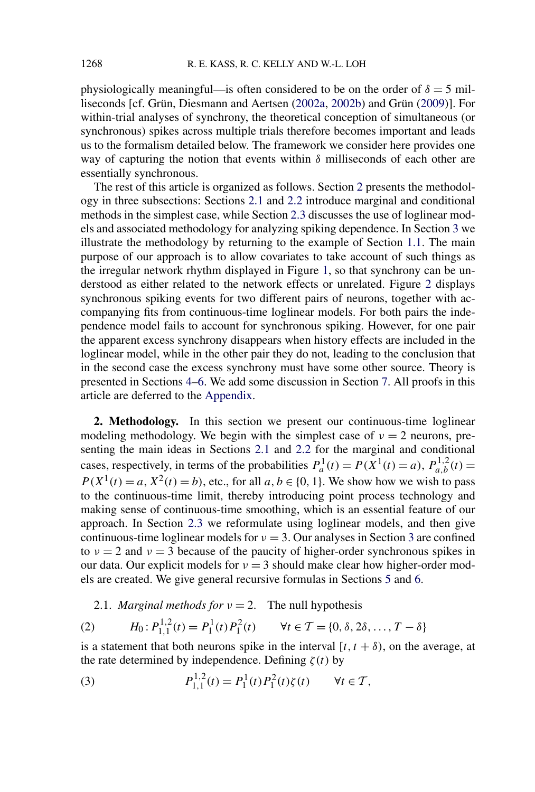<span id="page-6-0"></span>physiologically meaningful—is often considered to be on the order of  $\delta = 5$  milliseconds [cf. Grün, Diesmann and Aertsen [\(2002a,](#page-29-0) [2002b\)](#page-29-0) and Grün [\(2009\)](#page-29-0)]. For within-trial analyses of synchrony, the theoretical conception of simultaneous (or synchronous) spikes across multiple trials therefore becomes important and leads us to the formalism detailed below. The framework we consider here provides one way of capturing the notion that events within *δ* milliseconds of each other are essentially synchronous.

The rest of this article is organized as follows. Section 2 presents the methodology in three subsections: Sections 2.1 and [2.2](#page-8-0) introduce marginal and conditional methods in the simplest case, while Section [2.3](#page-9-0) discusses the use of loglinear models and associated methodology for analyzing spiking dependence. In Section [3](#page-12-0) we illustrate the methodology by returning to the example of Section [1.1.](#page-3-0) The main purpose of our approach is to allow covariates to take account of such things as the irregular network rhythm displayed in Figure [1,](#page-2-0) so that synchrony can be understood as either related to the network effects or unrelated. Figure [2](#page-13-0) displays synchronous spiking events for two different pairs of neurons, together with accompanying fits from continuous-time loglinear models. For both pairs the independence model fails to account for synchronous spiking. However, for one pair the apparent excess synchrony disappears when history effects are included in the loglinear model, while in the other pair they do not, leading to the conclusion that in the second case the excess synchrony must have some other source. Theory is presented in Sections [4](#page-16-0)[–6.](#page-19-0) We add some discussion in Section [7.](#page-24-0) All proofs in this article are deferred to the [Appendix.](#page-25-0)

**2. Methodology.** In this section we present our continuous-time loglinear modeling methodology. We begin with the simplest case of  $v = 2$  neurons, presenting the main ideas in Sections 2.1 and [2.2](#page-8-0) for the marginal and conditional cases, respectively, in terms of the probabilities  $P_a^1(t) = P(X^1(t) = a)$ ,  $P_{a,b}^{1,2}(t) =$  $P(X^1(t) = a, X^2(t) = b)$ , etc., for all  $a, b \in \{0, 1\}$ . We show how we wish to pass to the continuous-time limit, thereby introducing point process technology and making sense of continuous-time smoothing, which is an essential feature of our approach. In Section [2.3](#page-9-0) we reformulate using loglinear models, and then give continuous-time loglinear models for  $\nu = 3$  $\nu = 3$ . Our analyses in Section 3 are confined to  $v = 2$  and  $v = 3$  because of the paucity of higher-order synchronous spikes in our data. Our explicit models for  $v = 3$  should make clear how higher-order models are created. We give general recursive formulas in Sections [5](#page-16-0) and [6.](#page-19-0)

2.1. *Marginal methods for*  $v = 2$ . The null hypothesis

(2) 
$$
H_0: P_{1,1}^{1,2}(t) = P_1^1(t)P_1^2(t) \qquad \forall t \in \mathcal{T} = \{0, \delta, 2\delta, \ldots, T - \delta\}
$$

is a statement that both neurons spike in the interval  $[t, t + \delta)$ , on the average, at the rate determined by independence. Defining  $\zeta(t)$  by

(3) 
$$
P_{1,1}^{1,2}(t) = P_1^1(t) P_1^2(t) \zeta(t) \qquad \forall t \in \mathcal{T},
$$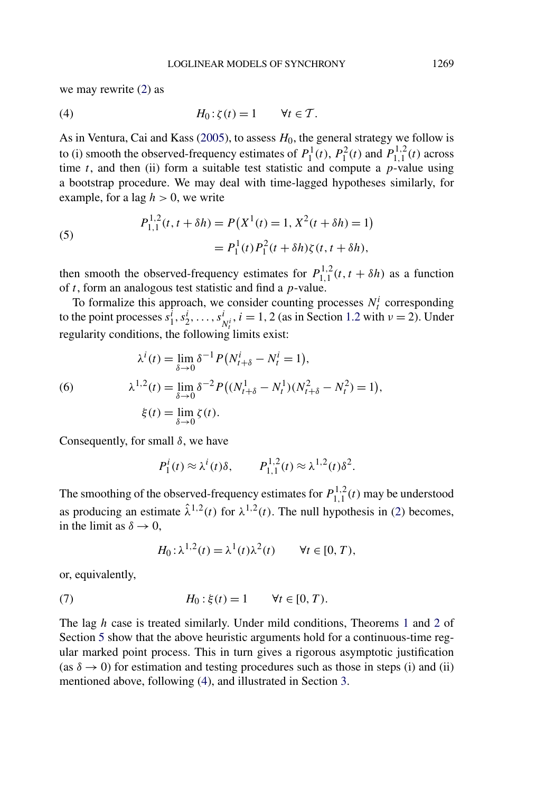<span id="page-7-0"></span>we may rewrite [\(2\)](#page-6-0) as

(4) 
$$
H_0: \zeta(t) = 1 \qquad \forall t \in \mathcal{T}.
$$

As in Ventura, Cai and Kass  $(2005)$ , to assess  $H_0$ , the general strategy we follow is to (i) smooth the observed-frequency estimates of  $P_1^1(t)$ ,  $P_1^2(t)$  and  $P_{1,1}^{1,2}(t)$  across time *t*, and then (ii) form a suitable test statistic and compute a *p*-value using a bootstrap procedure. We may deal with time-lagged hypotheses similarly, for example, for a lag  $h > 0$ , we write

(5)  

$$
P_{1,1}^{1,2}(t, t + \delta h) = P(X^1(t) = 1, X^2(t + \delta h) = 1)
$$

$$
= P_1^1(t) P_1^2(t + \delta h) \zeta(t, t + \delta h),
$$

then smooth the observed-frequency estimates for  $P_{1,1}^{1,2}(t, t + \delta h)$  as a function of *t*, form an analogous test statistic and find a *p*-value.

To formalize this approach, we consider counting processes  $N_t^i$  corresponding to the point processes  $s_1^i, s_2^i, \ldots, s_{N_t^i}^i, i = 1, 2$  (as in Section [1.2](#page-4-0) with  $v = 2$ ). Under regularity conditions, the following limits exist:

(6)  
\n
$$
\lambda^{i}(t) = \lim_{\delta \to 0} \delta^{-1} P(N_{t+\delta}^{i} - N_{t}^{i} = 1),
$$
\n
$$
\lambda^{1,2}(t) = \lim_{\delta \to 0} \delta^{-2} P((N_{t+\delta}^{1} - N_{t}^{1})(N_{t+\delta}^{2} - N_{t}^{2}) = 1),
$$
\n
$$
\xi(t) = \lim_{\delta \to 0} \zeta(t).
$$

Consequently, for small *δ*, we have

$$
P_1^i(t) \approx \lambda^i(t)\delta, \qquad P_{1,1}^{1,2}(t) \approx \lambda^{1,2}(t)\delta^2.
$$

The smoothing of the observed-frequency estimates for  $P_{1,1}^{1,2}(t)$  may be understood as producing an estimate  $\hat{\lambda}^{1,2}(t)$  for  $\lambda^{1,2}(t)$ . The null hypothesis in [\(2\)](#page-6-0) becomes, in the limit as  $\delta \rightarrow 0$ ,

$$
H_0: \lambda^{1,2}(t) = \lambda^1(t)\lambda^2(t) \qquad \forall t \in [0, T),
$$

or, equivalently,

(7) 
$$
H_0: \xi(t) = 1 \quad \forall t \in [0, T).
$$

The lag *h* case is treated similarly. Under mild conditions, Theorems [1](#page-17-0) and [2](#page-19-0) of Section [5](#page-16-0) show that the above heuristic arguments hold for a continuous-time regular marked point process. This in turn gives a rigorous asymptotic justification (as  $\delta \to 0$ ) for estimation and testing procedures such as those in steps (i) and (ii) mentioned above, following (4), and illustrated in Section [3.](#page-12-0)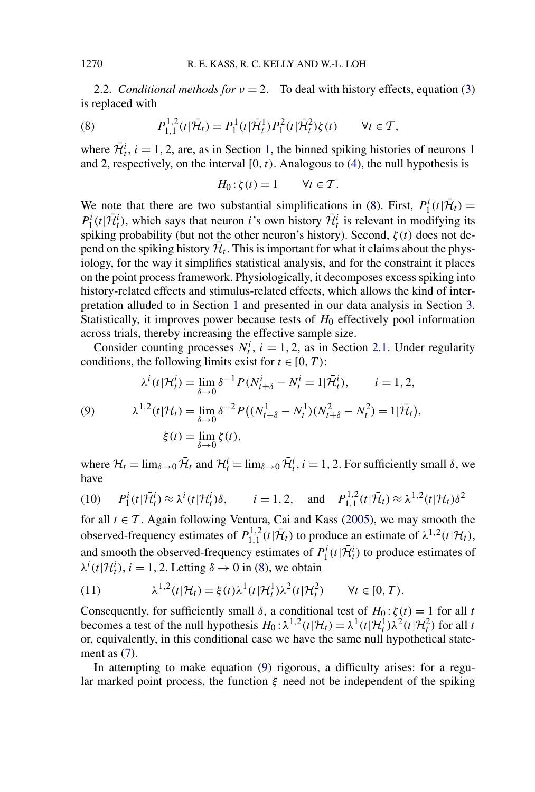<span id="page-8-0"></span>2.2. *Conditional methods for*  $v = 2$ . To deal with history effects, equation [\(3\)](#page-6-0) is replaced with

(8) 
$$
P_{1,1}^{1,2}(t|\bar{\mathcal{H}}_t) = P_1^1(t|\bar{\mathcal{H}}_t^1) P_1^2(t|\bar{\mathcal{H}}_t^2) \zeta(t) \qquad \forall t \in \mathcal{T},
$$

where  $\bar{\mathcal{H}}_t^i$ ,  $i = 1, 2$  $i = 1, 2$  $i = 1, 2$ , are, as in Section 1, the binned spiking histories of neurons 1 and 2, respectively, on the interval  $[0, t)$ . Analogous to  $(4)$ , the null hypothesis is

$$
H_0: \zeta(t) = 1 \qquad \forall t \in \mathcal{T}.
$$

We note that there are two substantial simplifications in (8). First,  $P_1^i(t|\bar{\mathcal{H}}_t)$  =  $P_1^i(t|\mathcal{H}_t^i)$ , which says that neuron *i*'s own history  $\mathcal{H}_t^i$  is relevant in modifying its spiking probability (but not the other neuron's history). Second,  $\zeta(t)$  does not depend on the spiking history  $\mathcal{H}_t$ . This is important for what it claims about the physiology, for the way it simplifies statistical analysis, and for the constraint it places on the point process framework. Physiologically, it decomposes excess spiking into history-related effects and stimulus-related effects, which allows the kind of interpretation alluded to in Section [1](#page-0-0) and presented in our data analysis in Section [3.](#page-12-0) Statistically, it improves power because tests of  $H_0$  effectively pool information across trials, thereby increasing the effective sample size.

Consider counting processes  $N_t^i$ ,  $i = 1, 2$ , as in Section [2.1.](#page-6-0) Under regularity conditions, the following limits exist for  $t \in [0, T)$ :

$$
\lambda^{i}(t|\mathcal{H}_{t}^{i}) = \lim_{\delta \to 0} \delta^{-1} P(N_{t+\delta}^{i} - N_{t}^{i} = 1|\bar{\mathcal{H}}_{t}^{i}), \qquad i = 1, 2,
$$

(9) 
$$
\lambda^{1,2}(t|\mathcal{H}_t) = \lim_{\delta \to 0} \delta^{-2} P\big((N_{t+\delta}^1 - N_t^1)(N_{t+\delta}^2 - N_t^2) = 1|\bar{\mathcal{H}}_t\big),
$$

$$
\xi(t) = \lim_{\delta \to 0} \zeta(t),
$$

where  $\mathcal{H}_t = \lim_{\delta \to 0} \overline{\mathcal{H}}_t$  and  $\mathcal{H}_t^i = \lim_{\delta \to 0} \overline{\mathcal{H}}_t^i$ ,  $i = 1, 2$ . For sufficiently small  $\delta$ , we have

(10) 
$$
P_1^i(t|\mathcal{H}_t^i) \approx \lambda^i(t|\mathcal{H}_t^i)\delta
$$
,  $i = 1, 2$ , and  $P_{1,1}^{1,2}(t|\mathcal{H}_t) \approx \lambda^{1,2}(t|\mathcal{H}_t)\delta^2$ 

for all  $t \in \mathcal{T}$ . Again following Ventura, Cai and Kass [\(2005\)](#page-30-0), we may smooth the observed-frequency estimates of  $P_{1,1}^{1,2}(t|\bar{\mathcal{H}}_t)$  to produce an estimate of  $\lambda^{1,2}(t|\mathcal{H}_t)$ , and smooth the observed-frequency estimates of  $P_1^i(t|\bar{\mathcal{H}}_t^i)$  to produce estimates of  $\lambda^{i}$  (*t*| $\mathcal{H}_{t}^{i}$ ), *i* = 1, 2. Letting  $\delta \rightarrow 0$  in (8), we obtain

(11) 
$$
\lambda^{1,2}(t|\mathcal{H}_t) = \xi(t)\lambda^1(t|\mathcal{H}_t^1)\lambda^2(t|\mathcal{H}_t^2) \qquad \forall t \in [0, T).
$$

Consequently, for sufficiently small  $\delta$ , a conditional test of  $H_0: \zeta(t) = 1$  for all *t* becomes a test of the null hypothesis  $H_0: \lambda^{1,2}(t|\mathcal{H}_t) = \lambda^1(t|\mathcal{H}_t^1)\lambda^2(t|\mathcal{H}_t^2)$  for all *t* or, equivalently, in this conditional case we have the same null hypothetical statement as  $(7)$ .

In attempting to make equation (9) rigorous, a difficulty arises: for a regular marked point process, the function *ξ* need not be independent of the spiking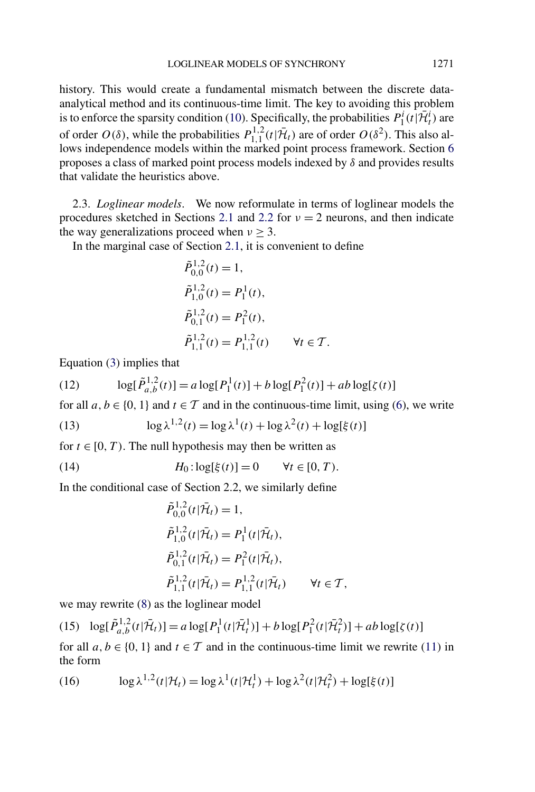<span id="page-9-0"></span>history. This would create a fundamental mismatch between the discrete dataanalytical method and its continuous-time limit. The key to avoiding this problem is to enforce the sparsity condition [\(10\)](#page-8-0). Specifically, the probabilities  $P_1^i(t|\mathcal{H}_t^i)$  are of order  $O(\delta)$ , while the probabilities  $P_{1,1}^{1,2}(t|\mathcal{H}_t)$  are of order  $O(\delta^2)$ . This also al-lows independence models within the marked point process framework. Section [6](#page-19-0) proposes a class of marked point process models indexed by *δ* and provides results that validate the heuristics above.

2.3. *Loglinear models*. We now reformulate in terms of loglinear models the procedures sketched in Sections [2.1](#page-6-0) and [2.2](#page-8-0) for  $v = 2$  neurons, and then indicate the way generalizations proceed when  $\nu \geq 3$ .

In the marginal case of Section [2.1,](#page-6-0) it is convenient to define

$$
\tilde{P}_{0,0}^{1,2}(t) = 1,
$$
\n
$$
\tilde{P}_{1,0}^{1,2}(t) = P_1^1(t),
$$
\n
$$
\tilde{P}_{0,1}^{1,2}(t) = P_1^2(t),
$$
\n
$$
\tilde{P}_{1,1}^{1,2}(t) = P_{1,1}^{1,2}(t) \qquad \forall t \in \mathcal{T}.
$$

Equation [\(3\)](#page-6-0) implies that

(12) 
$$
\log[\tilde{P}_{a,b}^{1,2}(t)] = a \log[P_1^1(t)] + b \log[P_1^2(t)] + ab \log[\zeta(t)]
$$

for all  $a, b \in \{0, 1\}$  and  $t \in \mathcal{T}$  and in the continuous-time limit, using [\(6\)](#page-7-0), we write

(13) 
$$
\log \lambda^{1,2}(t) = \log \lambda^{1}(t) + \log \lambda^{2}(t) + \log[\xi(t)]
$$

for  $t \in [0, T)$ . The null hypothesis may then be written as

(14)  $H_0: \log[\xi(t)] = 0 \quad \forall t \in [0, T).$ 

In the conditional case of Section 2.2, we similarly define

$$
\tilde{P}_{0,0}^{1,2}(t|\tilde{\mathcal{H}}_t) = 1,
$$
\n
$$
\tilde{P}_{1,0}^{1,2}(t|\tilde{\mathcal{H}}_t) = P_1^1(t|\tilde{\mathcal{H}}_t),
$$
\n
$$
\tilde{P}_{0,1}^{1,2}(t|\tilde{\mathcal{H}}_t) = P_1^2(t|\tilde{\mathcal{H}}_t),
$$
\n
$$
\tilde{P}_{1,1}^{1,2}(t|\tilde{\mathcal{H}}_t) = P_{1,1}^{1,2}(t|\tilde{\mathcal{H}}_t) \qquad \forall t \in \mathcal{T},
$$

we may rewrite [\(8\)](#page-8-0) as the loglinear model

(15) 
$$
\log[\tilde{P}_{a,b}^{1,2}(t|\bar{\mathcal{H}}_t)] = a \log[P_1^1(t|\bar{\mathcal{H}}_t^1)] + b \log[P_1^2(t|\bar{\mathcal{H}}_t^2)] + ab \log[\zeta(t)]
$$

for all  $a, b \in \{0, 1\}$  and  $t \in \mathcal{T}$  and in the continuous-time limit we rewrite [\(11\)](#page-8-0) in the form

(16) 
$$
\log \lambda^{1,2}(t|\mathcal{H}_t) = \log \lambda^{1}(t|\mathcal{H}_t^1) + \log \lambda^{2}(t|\mathcal{H}_t^2) + \log[\xi(t)]
$$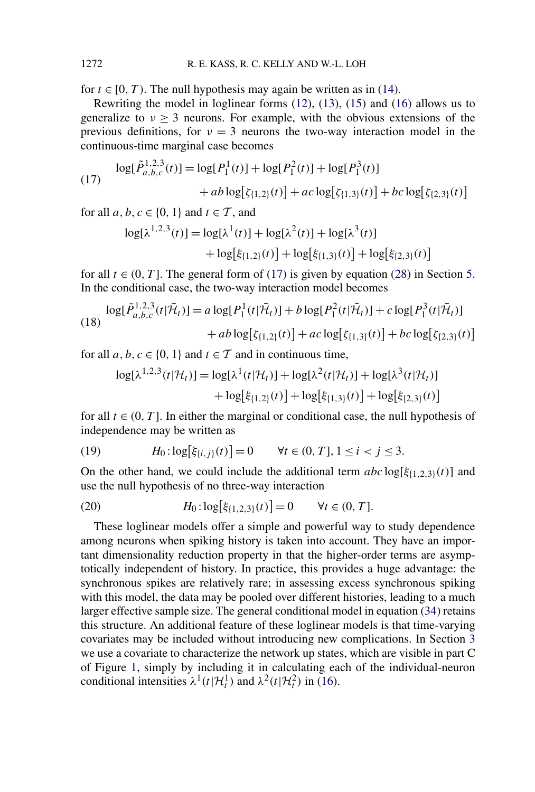for  $t \in [0, T)$ . The null hypothesis may again be written as in [\(14\)](#page-9-0).

Rewriting the model in loglinear forms [\(12\)](#page-9-0), [\(13\)](#page-9-0), [\(15\)](#page-9-0) and [\(16\)](#page-9-0) allows us to generalize to  $v > 3$  neurons. For example, with the obvious extensions of the previous definitions, for  $v = 3$  neurons the two-way interaction model in the continuous-time marginal case becomes

(17) 
$$
\log[\tilde{P}_{a,b,c}^{1,2,3}(t)] = \log[P_1^1(t)] + \log[P_1^2(t)] + \log[P_1^3(t)] + ab \log[\zeta_{[1,2]}(t)] + ac \log[\zeta_{[1,3]}(t)] + bc \log[\zeta_{[2,3]}(t)]
$$

for all  $a, b, c \in \{0, 1\}$  and  $t \in \mathcal{T}$ , and

$$
\log[\lambda^{1,2,3}(t)] = \log[\lambda^{1}(t)] + \log[\lambda^{2}(t)] + \log[\lambda^{3}(t)] + \log[\xi_{[1,2]}(t)] + \log[\xi_{[1,3]}(t)] + \log[\xi_{[2,3]}(t)]
$$

for all  $t \in (0, T]$ . The general form of (17) is given by equation [\(28\)](#page-18-0) in Section [5.](#page-16-0) In the conditional case, the two-way interaction model becomes

$$
\log[\tilde{P}_{a,b,c}^{1,2,3}(t|\bar{\mathcal{H}}_t)] = a \log[P_1^1(t|\bar{\mathcal{H}}_t)] + b \log[P_1^2(t|\bar{\mathcal{H}}_t)] + c \log[P_1^3(t|\bar{\mathcal{H}}_t)] + ab \log[\zeta_{\{1,2\}}(t)] + ac \log[\zeta_{\{1,3\}}(t)] + bc \log[\zeta_{\{2,3\}}(t)]
$$

for all  $a, b, c \in \{0, 1\}$  and  $t \in \mathcal{T}$  and in continuous time,

$$
\log[\lambda^{1,2,3}(t|\mathcal{H}_t)] = \log[\lambda^{1}(t|\mathcal{H}_t)] + \log[\lambda^{2}(t|\mathcal{H}_t)] + \log[\lambda^{3}(t|\mathcal{H}_t)]
$$

$$
+ \log[\xi_{[1,2]}(t)] + \log[\xi_{[1,3]}(t)] + \log[\xi_{[2,3]}(t)]
$$

for all  $t \in (0, T]$ . In either the marginal or conditional case, the null hypothesis of independence may be written as

(19) 
$$
H_0: \log[\xi_{\{i,j\}}(t)] = 0 \quad \forall t \in (0, T], 1 \le i < j \le 3.
$$

On the other hand, we could include the additional term *abc* log[*ξ*{1*,*2*,*3}*(t)*] and use the null hypothesis of no three-way interaction

(20) 
$$
H_0: \log[\xi_{\{1,2,3\}}(t)] = 0 \quad \forall t \in (0, T].
$$

These loglinear models offer a simple and powerful way to study dependence among neurons when spiking history is taken into account. They have an important dimensionality reduction property in that the higher-order terms are asymptotically independent of history. In practice, this provides a huge advantage: the synchronous spikes are relatively rare; in assessing excess synchronous spiking with this model, the data may be pooled over different histories, leading to a much larger effective sample size. The general conditional model in equation [\(34\)](#page-22-0) retains this structure. An additional feature of these loglinear models is that time-varying covariates may be included without introducing new complications. In Section [3](#page-12-0) we use a covariate to characterize the network up states, which are visible in part C of Figure [1,](#page-2-0) simply by including it in calculating each of the individual-neuron conditional intensities  $\lambda^1(t|\mathcal{H}_t^1)$  and  $\lambda^2(t|\mathcal{H}_t^2)$  in [\(16\)](#page-9-0).

<span id="page-10-0"></span>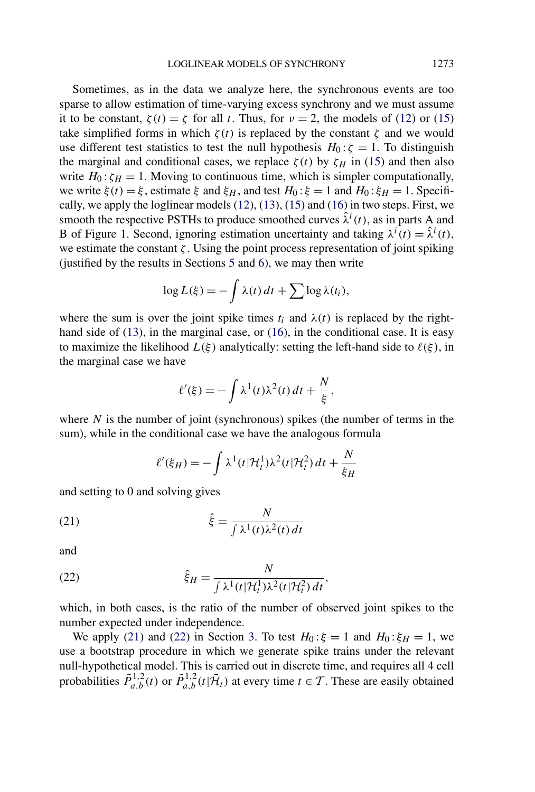<span id="page-11-0"></span>Sometimes, as in the data we analyze here, the synchronous events are too sparse to allow estimation of time-varying excess synchrony and we must assume it to be constant,  $\zeta(t) = \zeta$  for all *t*. Thus, for  $v = 2$ , the models of [\(12\)](#page-9-0) or [\(15\)](#page-9-0) take simplified forms in which  $\zeta(t)$  is replaced by the constant  $\zeta$  and we would use different test statistics to test the null hypothesis  $H_0: \zeta = 1$ . To distinguish the marginal and conditional cases, we replace  $\zeta(t)$  by  $\zeta_H$  in [\(15\)](#page-9-0) and then also write  $H_0: \zeta_H = 1$ . Moving to continuous time, which is simpler computationally, we write  $\xi(t) = \xi$ , estimate  $\xi$  and  $\xi_H$ , and test  $H_0: \xi = 1$  and  $H_0: \xi_H = 1$ . Specifically, we apply the loglinear models [\(12\)](#page-9-0), [\(13\)](#page-9-0), [\(15\)](#page-9-0) and [\(16\)](#page-9-0) in two steps. First, we smooth the respective PSTHs to produce smoothed curves  $\hat{\lambda}^i(t)$ , as in parts A and B of Figure [1.](#page-2-0) Second, ignoring estimation uncertainty and taking  $\lambda^{i}(t) = \hat{\lambda}^{i}(t)$ , we estimate the constant  $\zeta$ . Using the point process representation of joint spiking (justified by the results in Sections [5](#page-16-0) and [6\)](#page-19-0), we may then write

$$
\log L(\xi) = -\int \lambda(t) dt + \sum \log \lambda(t_i),
$$

where the sum is over the joint spike times  $t_i$  and  $\lambda(t)$  is replaced by the righthand side of [\(13\)](#page-9-0), in the marginal case, or [\(16\)](#page-9-0), in the conditional case. It is easy to maximize the likelihood  $L(\xi)$  analytically: setting the left-hand side to  $\ell(\xi)$ , in the marginal case we have

$$
\ell'(\xi) = -\int \lambda^1(t)\lambda^2(t) dt + \frac{N}{\xi},
$$

where  $N$  is the number of joint (synchronous) spikes (the number of terms in the sum), while in the conditional case we have the analogous formula

$$
\ell'(\xi_H) = -\int \lambda^1(t|\mathcal{H}_t^1)\lambda^2(t|\mathcal{H}_t^2) dt + \frac{N}{\xi_H}
$$

and setting to 0 and solving gives

(21) 
$$
\hat{\xi} = \frac{N}{\int \lambda^1(t)\lambda^2(t) dt}
$$

and

(22) 
$$
\hat{\xi}_H = \frac{N}{\int \lambda^1(t|\mathcal{H}_t^1)\lambda^2(t|\mathcal{H}_t^2) dt},
$$

which, in both cases, is the ratio of the number of observed joint spikes to the number expected under independence.

We apply (21) and (22) in Section [3.](#page-12-0) To test  $H_0: \xi = 1$  and  $H_0: \xi_H = 1$ , we use a bootstrap procedure in which we generate spike trains under the relevant null-hypothetical model. This is carried out in discrete time, and requires all 4 cell probabilities  $\tilde{P}_{a,b}^{1,2}(t)$  or  $\tilde{P}_{a,b}^{1,2}(t|\mathcal{H}_t)$  at every time  $t \in \mathcal{T}$ . These are easily obtained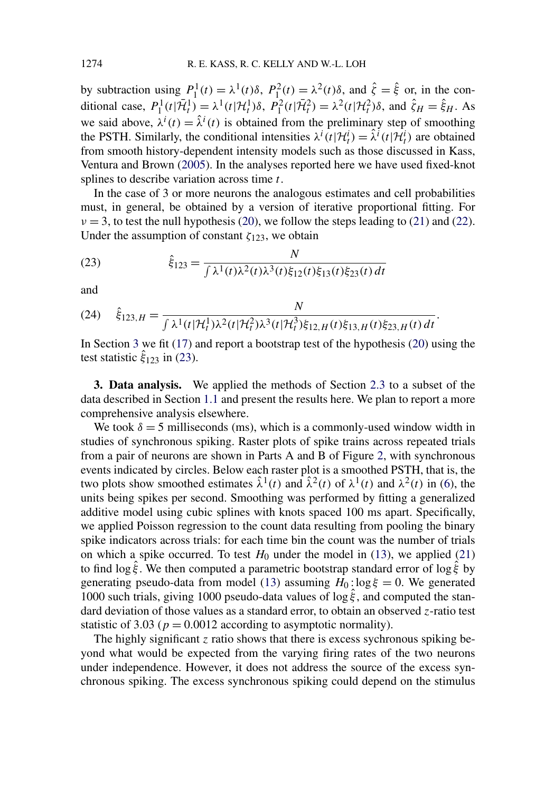by subtraction using  $P_1^1(t) = \lambda^1(t)\delta$ ,  $P_1^2(t) = \lambda^2(t)\delta$ , and  $\hat{\zeta} = \hat{\xi}$  or, in the conditional case,  $P_1^1(t|\mathcal{H}_t^1) = \lambda^1(t|\mathcal{H}_t^1)\delta$ ,  $P_1^2(t|\mathcal{H}_t^2) = \lambda^2(t|\mathcal{H}_t^2)\delta$ , and  $\hat{\zeta}_H = \hat{\xi}_H$ . As we said above,  $\lambda^{i}(t) = \hat{\lambda}^{i}(t)$  is obtained from the preliminary step of smoothing the PSTH. Similarly, the conditional intensities  $\lambda^{i}$   $(t | \mathcal{H}^{i}_{t}) = \hat{\lambda}^{i}$   $(t | \mathcal{H}^{i}_{t})$  are obtained from smooth history-dependent intensity models such as those discussed in Kass, Ventura and Brown [\(2005\)](#page-29-0). In the analyses reported here we have used fixed-knot splines to describe variation across time *t*.

In the case of 3 or more neurons the analogous estimates and cell probabilities must, in general, be obtained by a version of iterative proportional fitting. For  $\nu = 3$ , to test the null hypothesis [\(20\)](#page-10-0), we follow the steps leading to [\(21\)](#page-11-0) and [\(22\)](#page-11-0). Under the assumption of constant  $\zeta_{123}$ , we obtain

(23) 
$$
\hat{\xi}_{123} = \frac{N}{\int \lambda^1(t)\lambda^2(t)\lambda^3(t)\xi_{12}(t)\xi_{13}(t)\xi_{23}(t) dt}
$$

and

(24) 
$$
\hat{\xi}_{123,H} = \frac{N}{\int \lambda^1(t|\mathcal{H}_t^1)\lambda^2(t|\mathcal{H}_t^2)\lambda^3(t|\mathcal{H}_t^3)\xi_{12,H}(t)\xi_{13,H}(t)\xi_{23,H}(t) dt}.
$$

In Section 3 we fit [\(17\)](#page-10-0) and report a bootstrap test of the hypothesis [\(20\)](#page-10-0) using the test statistic  $\hat{\xi}_{123}$  in (23).

**3. Data analysis.** We applied the methods of Section [2.3](#page-9-0) to a subset of the data described in Section [1.1](#page-3-0) and present the results here. We plan to report a more comprehensive analysis elsewhere.

We took  $\delta = 5$  milliseconds (ms), which is a commonly-used window width in studies of synchronous spiking. Raster plots of spike trains across repeated trials from a pair of neurons are shown in Parts A and B of Figure [2,](#page-13-0) with synchronous events indicated by circles. Below each raster plot is a smoothed PSTH, that is, the two plots show smoothed estimates  $\hat{\lambda}^1(t)$  and  $\hat{\lambda}^2(t)$  of  $\lambda^1(t)$  and  $\lambda^2(t)$  in [\(6\)](#page-7-0), the units being spikes per second. Smoothing was performed by fitting a generalized additive model using cubic splines with knots spaced 100 ms apart. Specifically, we applied Poisson regression to the count data resulting from pooling the binary spike indicators across trials: for each time bin the count was the number of trials on which a spike occurred. To test  $H_0$  under the model in [\(13\)](#page-9-0), we applied [\(21\)](#page-11-0) to find log *ξ*ˆ. We then computed a parametric bootstrap standard error of log *ξ*ˆ by generating pseudo-data from model [\(13\)](#page-9-0) assuming  $H_0: \log \xi = 0$ . We generated 1000 such trials, giving 1000 pseudo-data values of log *ξ*ˆ, and computed the standard deviation of those values as a standard error, to obtain an observed *z*-ratio test statistic of 3.03 ( $p = 0.0012$  according to asymptotic normality).

The highly significant  $\zeta$  ratio shows that there is excess sychronous spiking beyond what would be expected from the varying firing rates of the two neurons under independence. However, it does not address the source of the excess synchronous spiking. The excess synchronous spiking could depend on the stimulus

<span id="page-12-0"></span>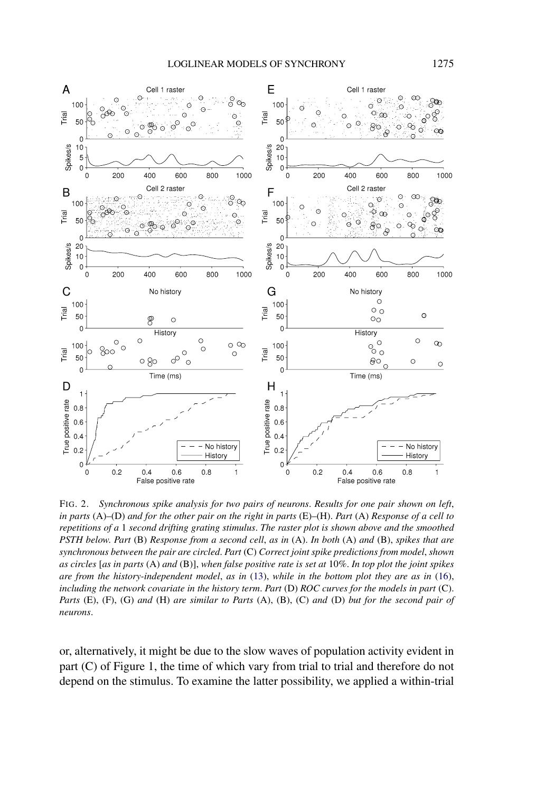<span id="page-13-0"></span>

FIG. 2. *Synchronous spike analysis for two pairs of neurons*. *Results for one pair shown on left*, *in parts* (A)–(D) *and for the other pair on the right in parts* (E)–(H). *Part* (A) *Response of a cell to repetitions of a* 1 *second drifting grating stimulus*. *The raster plot is shown above and the smoothed PSTH below*. *Part* (B) *Response from a second cell*, *as in* (A). *In both* (A) *and* (B), *spikes that are synchronous between the pair are circled*. *Part* (C) *Correct joint spike predictions from model*, *shown as circles* [*as in parts* (A) *and* (B)], *when false positive rate is set at* 10*%*. *In top plot the joint spikes are from the history-independent model*, *as in* [\(13\)](#page-9-0), *while in the bottom plot they are as in* [\(16\)](#page-9-0), *including the network covariate in the history term*. *Part* (D) *ROC curves for the models in part* (C). *Parts* (E), (F), (G) *and* (H) *are similar to Parts* (A), (B), (C) *and* (D) *but for the second pair of neurons*.

or, alternatively, it might be due to the slow waves of population activity evident in part (C) of Figure 1, the time of which vary from trial to trial and therefore do not depend on the stimulus. To examine the latter possibility, we applied a within-trial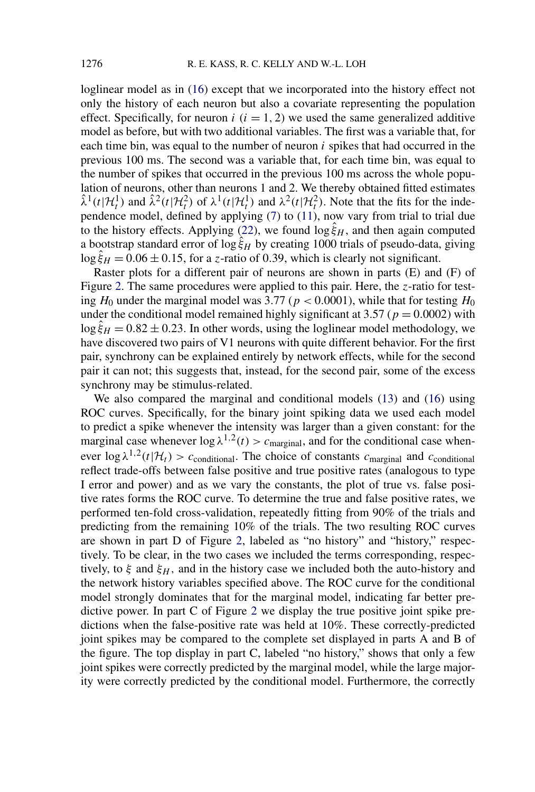loglinear model as in [\(16\)](#page-9-0) except that we incorporated into the history effect not only the history of each neuron but also a covariate representing the population effect. Specifically, for neuron  $i$   $(i = 1, 2)$  we used the same generalized additive model as before, but with two additional variables. The first was a variable that, for each time bin, was equal to the number of neuron *i* spikes that had occurred in the previous 100 ms. The second was a variable that, for each time bin, was equal to the number of spikes that occurred in the previous 100 ms across the whole population of neurons, other than neurons 1 and 2. We thereby obtained fitted estimates  $\hat{\lambda}^1(t|\mathcal{H}_t^1)$  and  $\hat{\lambda}^2(t|\mathcal{H}_t^2)$  of  $\lambda^1(t|\mathcal{H}_t^1)$  and  $\lambda^2(t|\mathcal{H}_t^2)$ . Note that the fits for the independence model, defined by applying [\(7\)](#page-7-0) to [\(11\)](#page-8-0), now vary from trial to trial due to the history effects. Applying [\(22\)](#page-11-0), we found  $\log \hat{\xi}_H$ , and then again computed a bootstrap standard error of log *ξ*ˆ *<sup>H</sup>* by creating 1000 trials of pseudo-data, giving  $\log \hat{\xi}_H = 0.06 \pm 0.15$ , for a *z*-ratio of 0.39, which is clearly not significant.

Raster plots for a different pair of neurons are shown in parts (E) and (F) of Figure [2.](#page-13-0) The same procedures were applied to this pair. Here, the *z*-ratio for testing  $H_0$  under the marginal model was 3.77 ( $p < 0.0001$ ), while that for testing  $H_0$ under the conditional model remained highly significant at  $3.57$  ( $p = 0.0002$ ) with  $\log \hat{\xi}_H = 0.82 \pm 0.23$ . In other words, using the loglinear model methodology, we have discovered two pairs of V1 neurons with quite different behavior. For the first pair, synchrony can be explained entirely by network effects, while for the second pair it can not; this suggests that, instead, for the second pair, some of the excess synchrony may be stimulus-related.

We also compared the marginal and conditional models [\(13\)](#page-9-0) and [\(16\)](#page-9-0) using ROC curves. Specifically, for the binary joint spiking data we used each model to predict a spike whenever the intensity was larger than a given constant: for the marginal case whenever  $\log \lambda^{1,2}(t) > c_{\text{marginal}}$ , and for the conditional case whenever  $\log \lambda^{1,2}(t|\mathcal{H}_t) > c_{\text{conditional}}$ . The choice of constants  $c_{\text{marginal}}$  and  $c_{\text{conditional}}$ reflect trade-offs between false positive and true positive rates (analogous to type I error and power) and as we vary the constants, the plot of true vs. false positive rates forms the ROC curve. To determine the true and false positive rates, we performed ten-fold cross-validation, repeatedly fitting from 90% of the trials and predicting from the remaining 10% of the trials. The two resulting ROC curves are shown in part D of Figure [2,](#page-13-0) labeled as "no history" and "history," respectively. To be clear, in the two cases we included the terms corresponding, respectively, to  $\xi$  and  $\xi_H$ , and in the history case we included both the auto-history and the network history variables specified above. The ROC curve for the conditional model strongly dominates that for the marginal model, indicating far better predictive power. In part C of Figure [2](#page-13-0) we display the true positive joint spike predictions when the false-positive rate was held at 10%. These correctly-predicted joint spikes may be compared to the complete set displayed in parts A and B of the figure. The top display in part C, labeled "no history," shows that only a few joint spikes were correctly predicted by the marginal model, while the large majority were correctly predicted by the conditional model. Furthermore, the correctly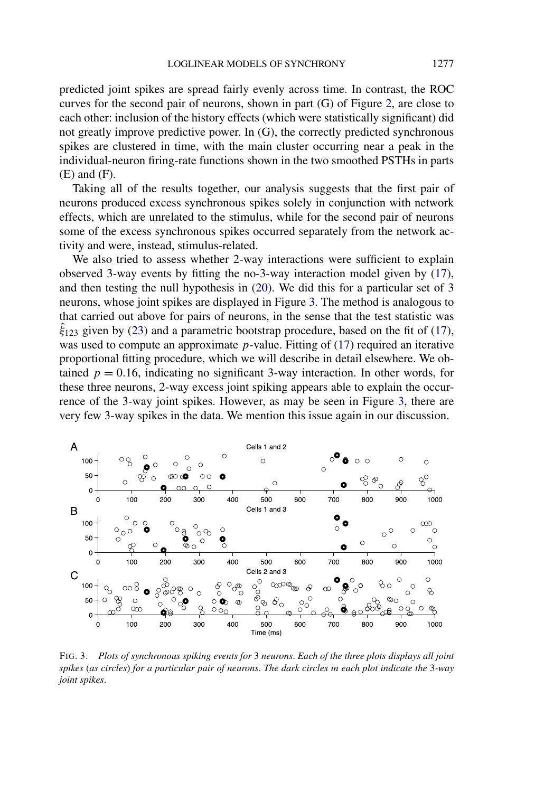<span id="page-15-0"></span>predicted joint spikes are spread fairly evenly across time. In contrast, the ROC curves for the second pair of neurons, shown in part (G) of Figure [2,](#page-13-0) are close to each other: inclusion of the history effects (which were statistically significant) did not greatly improve predictive power. In (G), the correctly predicted synchronous spikes are clustered in time, with the main cluster occurring near a peak in the individual-neuron firing-rate functions shown in the two smoothed PSTHs in parts (E) and (F).

Taking all of the results together, our analysis suggests that the first pair of neurons produced excess synchronous spikes solely in conjunction with network effects, which are unrelated to the stimulus, while for the second pair of neurons some of the excess synchronous spikes occurred separately from the network activity and were, instead, stimulus-related.

We also tried to assess whether 2-way interactions were sufficient to explain observed 3-way events by fitting the no-3-way interaction model given by [\(17\)](#page-10-0), and then testing the null hypothesis in [\(20\)](#page-10-0). We did this for a particular set of 3 neurons, whose joint spikes are displayed in Figure 3. The method is analogous to that carried out above for pairs of neurons, in the sense that the test statistic was *ξ*ˆ <sup>123</sup> given by [\(23\)](#page-12-0) and a parametric bootstrap procedure, based on the fit of [\(17\)](#page-10-0), was used to compute an approximate *p*-value. Fitting of [\(17\)](#page-10-0) required an iterative proportional fitting procedure, which we will describe in detail elsewhere. We obtained  $p = 0.16$ , indicating no significant 3-way interaction. In other words, for these three neurons, 2-way excess joint spiking appears able to explain the occurrence of the 3-way joint spikes. However, as may be seen in Figure 3, there are very few 3-way spikes in the data. We mention this issue again in our discussion.



FIG. 3. *Plots of synchronous spiking events for* 3 *neurons*. *Each of the three plots displays all joint spikes* (*as circles*) *for a particular pair of neurons*. *The dark circles in each plot indicate the* 3*-way joint spikes*.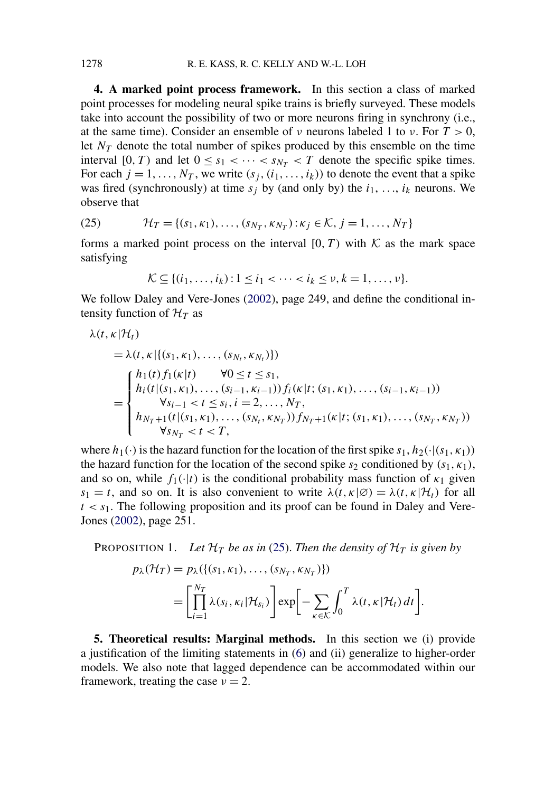**4. A marked point process framework.** In this section a class of marked point processes for modeling neural spike trains is briefly surveyed. These models take into account the possibility of two or more neurons firing in synchrony (i.e., at the same time). Consider an ensemble of *ν* neurons labeled 1 to *ν*. For  $T > 0$ , let *NT* denote the total number of spikes produced by this ensemble on the time interval  $[0, T)$  and let  $0 \leq s_1 < \cdots < s_{N_T} < T$  denote the specific spike times. For each  $j = 1, \ldots, N_T$ , we write  $(s_j, (i_1, \ldots, i_k))$  to denote the event that a spike was fired (synchronously) at time  $s_j$  by (and only by) the  $i_1, \ldots, i_k$  neurons. We observe that

(25) 
$$
\mathcal{H}_T = \{(s_1, \kappa_1), \ldots, (s_{N_T}, \kappa_{N_T}) : \kappa_j \in \mathcal{K}, j = 1, \ldots, N_T\}
$$

forms a marked point process on the interval  $[0, T)$  with K as the mark space satisfying

$$
\mathcal{K} \subseteq \{(i_1, ..., i_k): 1 \leq i_1 < \cdots < i_k \leq \nu, k = 1, ..., \nu\}.
$$

We follow Daley and Vere-Jones [\(2002\)](#page-29-0), page 249, and define the conditional intensity function of  $\mathcal{H}_T$  as

$$
\lambda(t, \kappa | \mathcal{H}_t)
$$
\n
$$
= \lambda(t, \kappa | \{ (s_1, \kappa_1), \ldots, (s_{N_t}, \kappa_{N_t}) \} )
$$
\n
$$
= \begin{cases}\n h_1(t) f_1(\kappa | t) & \forall 0 \le t \le s_1, \\
h_i(t | (s_1, \kappa_1), \ldots, (s_{i-1}, \kappa_{i-1})) f_i(\kappa | t; (s_1, \kappa_1), \ldots, (s_{i-1}, \kappa_{i-1})) \\
\forall s_{i-1} < t \le s_i, i = 2, \ldots, N_T, \\
h_{N_T+1}(t | (s_1, \kappa_1), \ldots, (s_{N_t}, \kappa_{N_T})) f_{N_T+1}(\kappa | t; (s_1, \kappa_1), \ldots, (s_{N_T}, \kappa_{N_T})) \\
\forall s_{N_T} < t < T,\n\end{cases}
$$

where  $h_1(\cdot)$  is the hazard function for the location of the first spike  $s_1, h_2(\cdot | (s_1, \kappa_1))$ the hazard function for the location of the second spike  $s_2$  conditioned by  $(s_1, \kappa_1)$ , and so on, while  $f_1(\cdot|t)$  is the conditional probability mass function of  $\kappa_1$  given *s*<sub>1</sub> = *t*, and so on. It is also convenient to write  $\lambda(t, \kappa | \varnothing) = \lambda(t, \kappa | \mathcal{H}_t)$  for all  $t < s<sub>1</sub>$ . The following proposition and its proof can be found in Daley and Vere-Jones [\(2002\)](#page-29-0), page 251.

**PROPOSITION 1.** Let  $\mathcal{H}_T$  be as in (25). Then the density of  $\mathcal{H}_T$  is given by  $p_{\lambda}(\mathcal{H}_T) = p_{\lambda}(\{(s_1, \kappa_1), \ldots, (s_{N_T}, \kappa_{N_T})\})$  $\Gamma_{\frac{N}{n}}^{N}$ 

$$
= \left[ \prod_{i=1}^{N_T} \lambda(s_i, \kappa_i | \mathcal{H}_{s_i}) \right] \exp \left[ - \sum_{\kappa \in \mathcal{K}} \int_0^T \lambda(t, \kappa | \mathcal{H}_t) dt \right].
$$

**5. Theoretical results: Marginal methods.** In this section we (i) provide a justification of the limiting statements in [\(6\)](#page-7-0) and (ii) generalize to higher-order models. We also note that lagged dependence can be accommodated within our framework, treating the case  $\nu = 2$ .

<span id="page-16-0"></span>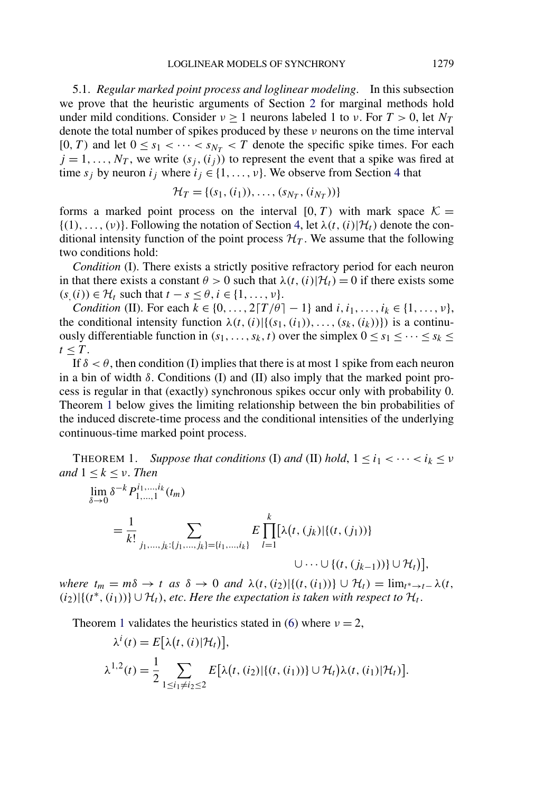<span id="page-17-0"></span>5.1. *Regular marked point process and loglinear modeling*. In this subsection we prove that the heuristic arguments of Section [2](#page-6-0) for marginal methods hold under mild conditions. Consider  $\nu > 1$  neurons labeled 1 to  $\nu$ . For  $T > 0$ , let  $N_T$ denote the total number of spikes produced by these *ν* neurons on the time interval [0*, T*) and let  $0 \le s_1 < \cdots < s_{N_T} < T$  denote the specific spike times. For each  $j = 1, \ldots, N_T$ , we write  $(s_j, (i_j))$  to represent the event that a spike was fired at time  $s_j$  by neuron  $i_j$  where  $i_j \in \{1, \ldots, \nu\}$ . We observe from Section [4](#page-16-0) that

$$
\mathcal{H}_T = \{ (s_1, (i_1)), \ldots, (s_{N_T}, (i_{N_T})) \}
$$

forms a marked point process on the interval  $[0, T)$  with mark space  $K =$  ${(1), \ldots, (\nu)}$ . Following the notation of Section [4,](#page-16-0) let  $\lambda(t, (i)|\mathcal{H}_t)$  denote the conditional intensity function of the point process  $\mathcal{H}_T$ . We assume that the following two conditions hold:

*Condition* (I). There exists a strictly positive refractory period for each neuron in that there exists a constant  $\theta > 0$  such that  $\lambda(t, (i)|\mathcal{H}_t) = 0$  if there exists some  $(s_i(i)) \in \mathcal{H}_t$  such that  $t - s \leq \theta, i \in \{1, \ldots, \nu\}.$ 

*Condition* (II). For each  $k \in \{0, ..., 2[T/\theta] - 1\}$  and  $i, i_1, ..., i_k \in \{1, ..., v\}$ , the conditional intensity function  $\lambda(t, (i)|\{(s_1, (i_1)), \ldots, (s_k, (i_k))\})$  is a continuously differentiable function in  $(s_1, \ldots, s_k, t)$  over the simplex  $0 \le s_1 \le \cdots \le s_k \le$  $t < T$ .

If  $\delta < \theta$ , then condition (I) implies that there is at most 1 spike from each neuron in a bin of width  $\delta$ . Conditions (I) and (II) also imply that the marked point process is regular in that (exactly) synchronous spikes occur only with probability 0. Theorem 1 below gives the limiting relationship between the bin probabilities of the induced discrete-time process and the conditional intensities of the underlying continuous-time marked point process.

THEOREM 1. *Suppose that conditions* (I) *and* (II) *hold*,  $1 \le i_1 < \cdots < i_k \le \nu$ *and*  $1 \leq k \leq v$ *. Then* 

$$
\lim_{\delta \to 0} \delta^{-k} P_{1,\dots,1}^{i_1,\dots,i_k}(t_m)
$$
\n
$$
= \frac{1}{k!} \sum_{j_1,\dots,j_k:\{j_1,\dots,j_k\}=\{i_1,\dots,i_k\}} E \prod_{l=1}^k [\lambda(t,(j_k)|\{(t,(j_1))\})
$$
\n
$$
\cup \dots \cup \{(t,(j_{k-1}))\} \cup \mathcal{H}_t)],
$$

*where*  $t_m = m\delta \rightarrow t$  *as*  $\delta \rightarrow 0$  *and*  $\lambda(t, (i_2) | \{(t, (i_1))\} \cup \mathcal{H}_t) = \lim_{t^* \rightarrow t^-} \lambda(t, t)$  $(i_2)$ |{ $(t^*, (i_1))$ } ∪  $\mathcal{H}_t$ , *etc. Here the expectation is taken with respect to*  $\mathcal{H}_t$ .

Theorem 1 validates the heuristics stated in [\(6\)](#page-7-0) where  $\nu = 2$ ,

$$
\lambda^{i}(t) = E[\lambda(t, (i)|\mathcal{H}_{t})],
$$
  

$$
\lambda^{1,2}(t) = \frac{1}{2} \sum_{1 \leq i_1 \neq i_2 \leq 2} E[\lambda(t, (i_2)|\{(t, (i_1))\} \cup \mathcal{H}_{t})\lambda(t, (i_1)|\mathcal{H}_{t})].
$$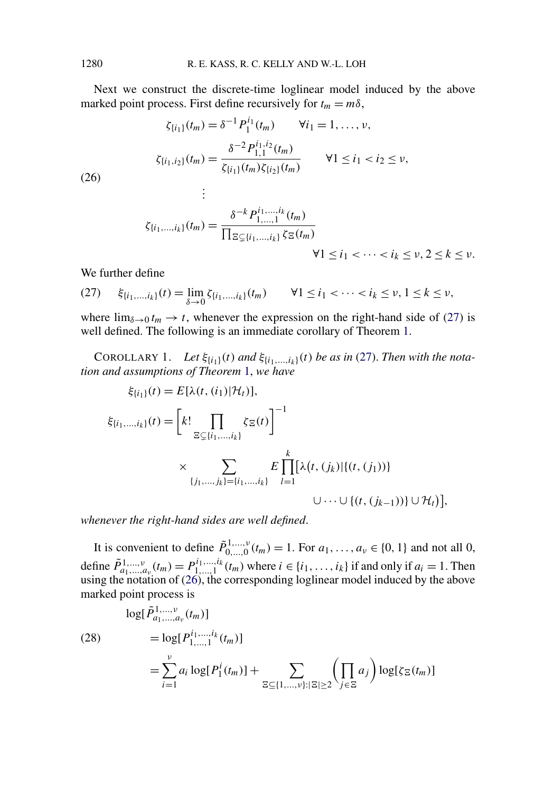Next we construct the discrete-time loglinear model induced by the above marked point process. First define recursively for  $t_m = m\delta$ ,

(26)  
\n
$$
\zeta_{\{i_1\}}(t_m) = \delta^{-1} P_1^{i_1}(t_m) \qquad \forall i_1 = 1, ..., \nu,
$$
\n
$$
\zeta_{\{i_1, i_2\}}(t_m) = \frac{\delta^{-2} P_{1,1}^{i_1, i_2}(t_m)}{\zeta_{\{i_1\}}(t_m) \zeta_{\{i_2\}}(t_m)} \qquad \forall 1 \le i_1 < i_2 \le \nu,
$$

*. .*

$$
\zeta_{\{i_1,\dots,i_k\}}(t_m) = \frac{\delta^{-k} P_{1,\dots,1}^{i_1,\dots,i_k}(t_m)}{\prod_{\Xi \subsetneq \{i_1,\dots,i_k\}} \zeta_{\Xi}(t_m)} \qquad \forall 1 \le i_1 < \dots < i_k \le \nu, 2 \le k \le \nu.
$$

We further define

$$
(27) \quad \xi_{\{i_1,\dots,i_k\}}(t) = \lim_{\delta \to 0} \zeta_{\{i_1,\dots,i_k\}}(t_m) \qquad \forall 1 \le i_1 < \dots < i_k \le \nu, \ 1 \le k \le \nu,
$$

where  $\lim_{\delta \to 0} t_m \to t$ , whenever the expression on the right-hand side of (27) is well defined. The following is an immediate corollary of Theorem [1.](#page-17-0)

COROLLARY 1. Let  $\xi_{\{i_1\}}(t)$  and  $\xi_{\{i_1,\ldots,i_k\}}(t)$  be as in (27). Then with the nota*tion and assumptions of Theorem* [1,](#page-17-0) *we have*

$$
\xi_{\{i_1\}}(t) = E[\lambda(t, (i_1)|\mathcal{H}_t)],
$$
  
\n
$$
\xi_{\{i_1,\dots,i_k\}}(t) = \left[k! \prod_{\Xi \subsetneq \{i_1,\dots,i_k\}} \zeta_{\Xi}(t)\right]^{-1}
$$
  
\n
$$
\times \sum_{\{j_1,\dots,j_k\} = \{i_1,\dots,i_k\}} E \prod_{l=1}^k [\lambda(t, (j_k)|\{(t, (j_l))\})
$$
  
\n
$$
\cup \dots \cup \{(t, (j_{k-1}))\} \cup \mathcal{H}_t)],
$$

*whenever the right-hand sides are well defined*.

It is convenient to define  $\tilde{P}^{1,...,v}_{0,...,0}(t_m) = 1$ . For  $a_1,...,a_v \in \{0, 1\}$  and not all 0, define  $\tilde{P}_{a_1,...,a_v}^{1,...,v}(t_m) = P_{1,...,1}^{i_1,...,i_k}(t_m)$  where  $i \in \{i_1,...,i_k\}$  if and only if  $a_i = 1$ . Then using the notation of (26), the corresponding loglinear model induced by the above marked point process is

$$
\log[\tilde{P}_{a_1,\ldots,a_\nu}^{1,\ldots,\nu}(t_m)]
$$
\n(28)\n
$$
= \log[P_{1,\ldots,1}^{i_1,\ldots,i_k}(t_m)]
$$
\n
$$
= \sum_{i=1}^{\nu} a_i \log[P_1^i(t_m)] + \sum_{\Xi \subseteq \{1,\ldots,\nu\} : |\Xi| \ge 2} \left(\prod_{j \in \Xi} a_j\right) \log[\zeta_{\Xi}(t_m)]
$$

<span id="page-18-0"></span>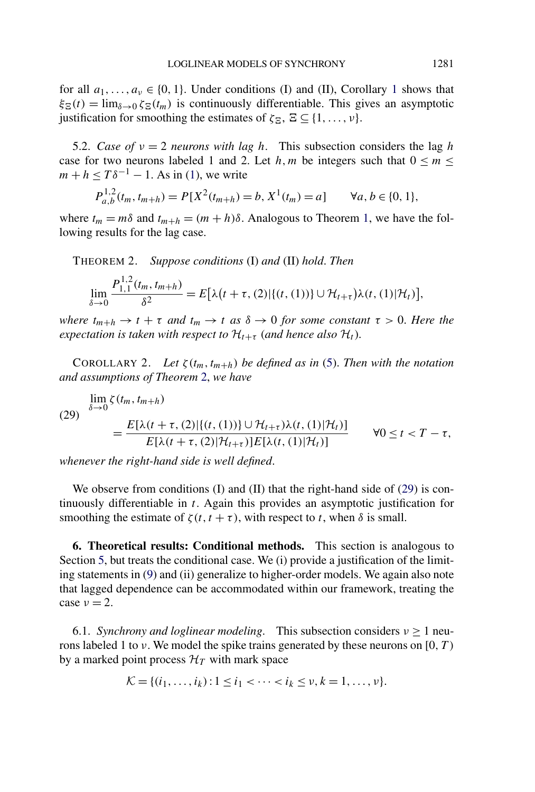<span id="page-19-0"></span>for all  $a_1, \ldots, a_v \in \{0, 1\}$  $a_1, \ldots, a_v \in \{0, 1\}$  $a_1, \ldots, a_v \in \{0, 1\}$ . Under conditions (I) and (II), Corollary 1 shows that  $\xi_{\mathcal{E}}(t) = \lim_{\delta \to 0} \zeta_{\mathcal{E}}(t_m)$  is continuously differentiable. This gives an asymptotic justification for smoothing the estimates of  $\zeta_{\mathbb{E}}$ ,  $\Xi \subseteq \{1, \ldots, \nu\}$ .

5.2. *Case of ν* = 2 *neurons with lag h*. This subsection considers the lag *h* case for two neurons labeled 1 and 2. Let *h*, *m* be integers such that  $0 \le m \le$  $m + h \leq T\delta^{-1} - 1$ . As in [\(1\)](#page-4-0), we write

$$
P_{a,b}^{1,2}(t_m, t_{m+h}) = P[X^2(t_{m+h}) = b, X^1(t_m) = a] \qquad \forall a, b \in \{0, 1\},
$$

where  $t_m = m\delta$  and  $t_{m+h} = (m+h)\delta$ . Analogous to Theorem [1,](#page-17-0) we have the following results for the lag case.

THEOREM 2. *Suppose conditions* (I) *and* (II) *hold*. *Then*

$$
\lim_{\delta \to 0} \frac{P_{1,1}^{1,2}(t_m, t_{m+h})}{\delta^2} = E\big[\lambda(t + \tau, (2) | \{(t, (1))\} \cup \mathcal{H}_{t+\tau}\big) \lambda(t, (1) | \mathcal{H}_t)\big],
$$

*where*  $t_{m+h} \to t + \tau$  *and*  $t_m \to t$  *as*  $\delta \to 0$  *for some constant*  $\tau > 0$ . *Here the expectation is taken with respect to*  $\mathcal{H}_{t+\tau}$  (*and hence also*  $\mathcal{H}_t$ ).

COROLLARY 2. Let  $\zeta(t_m, t_{m+h})$  be defined as in [\(5\)](#page-7-0). Then with the notation *and assumptions of Theorem* 2, *we have*

$$
(29) \quad \lim_{\delta \to 0} \zeta(t_m, t_{m+h})
$$
\n
$$
= \frac{E[\lambda(t + \tau, (2)|\{(t, (1))\} \cup \mathcal{H}_{t+\tau})\lambda(t, (1)|\mathcal{H}_t)]}{E[\lambda(t + \tau, (2)|\mathcal{H}_{t+\tau})]E[\lambda(t, (1)|\mathcal{H}_t)]} \qquad \forall 0 \le t < T - \tau,
$$

*whenever the right-hand side is well defined*.

We observe from conditions (I) and (II) that the right-hand side of (29) is continuously differentiable in *t*. Again this provides an asymptotic justification for smoothing the estimate of  $\zeta(t, t + \tau)$ , with respect to *t*, when  $\delta$  is small.

**6. Theoretical results: Conditional methods.** This section is analogous to Section [5,](#page-16-0) but treats the conditional case. We (i) provide a justification of the limiting statements in [\(9\)](#page-8-0) and (ii) generalize to higher-order models. We again also note that lagged dependence can be accommodated within our framework, treating the case  $v = 2$ .

6.1. *Synchrony and loglinear modeling*. This subsection considers  $v \ge 1$  neurons labeled 1 to *ν*. We model the spike trains generated by these neurons on [0*,T)* by a marked point process  $\mathcal{H}_T$  with mark space

$$
\mathcal{K} = \{(i_1, \ldots, i_k) : 1 \le i_1 < \cdots < i_k \le \nu, k = 1, \ldots, \nu\}.
$$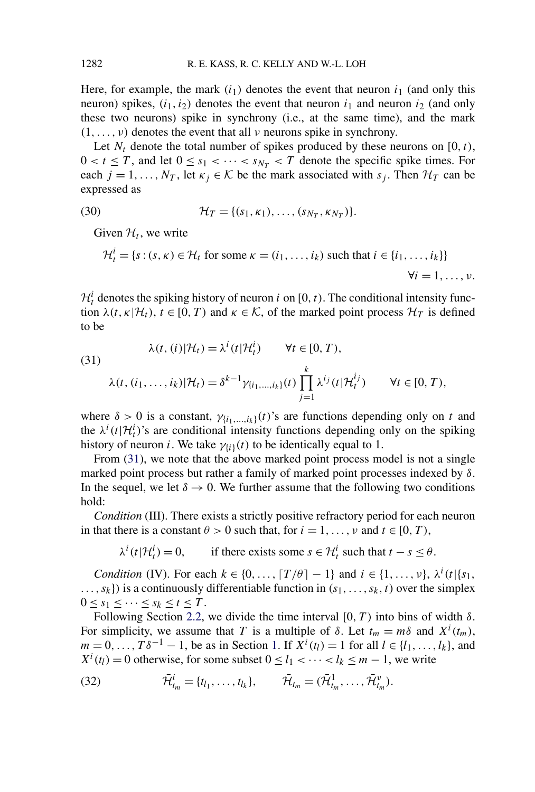Here, for example, the mark  $(i_1)$  denotes the event that neuron  $i_1$  (and only this neuron) spikes,  $(i_1, i_2)$  denotes the event that neuron  $i_1$  and neuron  $i_2$  (and only these two neurons) spike in synchrony (i.e., at the same time), and the mark *(*1*,...,ν)* denotes the event that all *ν* neurons spike in synchrony.

Let  $N_t$  denote the total number of spikes produced by these neurons on [0, t),  $0 < t \leq T$ , and let  $0 \leq s_1 < \cdots < s_{N_T} < T$  denote the specific spike times. For each  $j = 1, ..., N_T$ , let  $\kappa_j \in \mathcal{K}$  be the mark associated with  $s_j$ . Then  $\mathcal{H}_T$  can be expressed as

(30) 
$$
\mathcal{H}_T = \{(s_1, \kappa_1), \ldots, (s_{N_T}, \kappa_{N_T})\}.
$$

Given  $\mathcal{H}_t$ , we write

$$
\mathcal{H}_t^i = \{s : (s, \kappa) \in \mathcal{H}_t \text{ for some } \kappa = (i_1, \dots, i_k) \text{ such that } i \in \{i_1, \dots, i_k\}\}
$$
  

$$
\forall i = 1, \dots, \nu.
$$

 $\mathcal{H}_t^i$  denotes the spiking history of neuron *i* on [0, *t*). The conditional intensity function  $\lambda(t, \kappa | \mathcal{H}_t)$ ,  $t \in [0, T)$  and  $\kappa \in \mathcal{K}$ , of the marked point process  $\mathcal{H}_T$  is defined to be

(31)  

$$
\lambda(t, (i)|\mathcal{H}_t) = \lambda^i(t|\mathcal{H}_t^i) \qquad \forall t \in [0, T),
$$

$$
\lambda(t, (i_1, \dots, i_k)|\mathcal{H}_t) = \delta^{k-1} \gamma_{\{i_1, \dots, i_k\}}(t) \prod_{j=1}^k \lambda^{i_j}(t|\mathcal{H}_t^{i_j}) \qquad \forall t \in [0, T),
$$

where  $\delta > 0$  is a constant,  $\gamma_{\{i_1,\dots,i_k\}}(t)$ 's are functions depending only on *t* and the  $\lambda^{i}(t|\mathcal{H}_{t}^{i})$ 's are conditional intensity functions depending only on the spiking history of neuron *i*. We take  $\gamma_{\{i\}}(t)$  to be identically equal to 1.

From  $(31)$ , we note that the above marked point process model is not a single marked point process but rather a family of marked point processes indexed by *δ*. In the sequel, we let  $\delta \rightarrow 0$ . We further assume that the following two conditions hold:

*Condition* (III). There exists a strictly positive refractory period for each neuron in that there is a constant  $\theta > 0$  such that, for  $i = 1, \ldots, \nu$  and  $t \in [0, T)$ ,

 $\lambda^{i}$  (*t*| $\mathcal{H}_{t}^{i}$ ) = 0, if there exists some  $s \in \mathcal{H}_{t}^{i}$  such that  $t - s \leq \theta$ .

*Condition* (IV). For each  $k \in \{0, ..., T/\theta\} - 1\}$  and  $i \in \{1, ..., v\}$ ,  $\lambda^{i}(t | \{s_1,$  $\dots$ ,  $s_k$ }) is a continuously differentiable function in  $(s_1, \dots, s_k, t)$  over the simplex  $0 \leq s_1 \leq \cdots \leq s_k \leq t \leq T$ .

Following Section [2.2,](#page-8-0) we divide the time interval [0*,T)* into bins of width *δ*. For simplicity, we assume that *T* is a multiple of  $\delta$ . Let  $t_m = m\delta$  and  $X^i(t_m)$ , *m* = 0, ...,  $T\delta^{-1} - 1$ , be as in Section [1.](#page-0-0) If  $\overline{X}^i(t_l) = 1$  for all  $l \in \{l_1, ..., l_k\}$ , and  $X^{i}(t_{l}) = 0$  otherwise, for some subset  $0 \leq l_{1} < \cdots < l_{k} \leq m - 1$ , we write

(32) 
$$
\bar{\mathcal{H}}_{t_m}^i = \{t_{l_1}, \ldots, t_{l_k}\}, \qquad \bar{\mathcal{H}}_{t_m} = (\bar{\mathcal{H}}_{t_m}^1, \ldots, \bar{\mathcal{H}}_{t_m}^{\nu}).
$$

<span id="page-20-0"></span>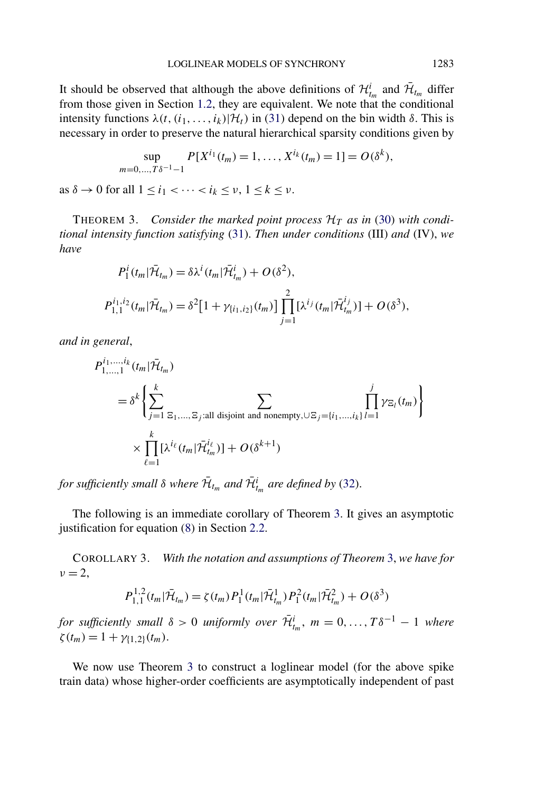<span id="page-21-0"></span>It should be observed that although the above definitions of  $\mathcal{H}_{t_m}^i$  and  $\bar{\mathcal{H}}_{t_m}$  differ from those given in Section [1.2,](#page-4-0) they are equivalent. We note that the conditional intensity functions  $\lambda(t, (i_1, \ldots, i_k)|\mathcal{H}_t)$  in [\(31\)](#page-20-0) depend on the bin width  $\delta$ . This is necessary in order to preserve the natural hierarchical sparsity conditions given by

$$
\sup_{m=0,\dots,T\delta^{-1}-1} P[X^{i_1}(t_m) = 1,\dots,X^{i_k}(t_m) = 1] = O(\delta^k),
$$

as  $\delta \to 0$  for all  $1 \leq i_1 < \cdots < i_k \leq \nu, 1 \leq k \leq \nu$ .

THEOREM 3. *Consider the marked point process*  $H_T$  *as in* [\(30\)](#page-20-0) with condi*tional intensity function satisfying* [\(31\)](#page-20-0). *Then under conditions* (III) *and* (IV), *we have*

$$
P_1^i(t_m|\bar{\mathcal{H}}_{t_m}) = \delta \lambda^i(t_m|\bar{\mathcal{H}}_{t_m}^i) + O(\delta^2),
$$
  

$$
P_{1,1}^{i_1,i_2}(t_m|\bar{\mathcal{H}}_{t_m}) = \delta^2 [1 + \gamma_{\{i_1,i_2\}}(t_m)] \prod_{j=1}^2 [\lambda^{i_j}(t_m|\bar{\mathcal{H}}_{t_m}^{i_j})] + O(\delta^3),
$$

*and in general*,

$$
P_{1,\ldots,1}^{i_1,\ldots,i_k}(t_m|\mathcal{H}_{t_m})
$$
  
=  $\delta^k \left\{ \sum_{j=1}^k \sum_{\Xi_1,\ldots,\Xi_j:\text{all disjoint and nonempty},\cup\Xi_j=\{i_1,\ldots,i_k\}} \prod_{l=1}^j \gamma_{\Xi_l}(t_m) \right\}$   
 $\times \prod_{\ell=1}^k [\lambda^{i_\ell}(t_m|\mathcal{H}_{t_m}^{i_\ell})] + O(\delta^{k+1})$ 

*for sufficiently small*  $\delta$  *where*  $\bar{\mathcal{H}}_{t_m}$  *and*  $\bar{\mathcal{H}}_{t_m}^i$  *are defined by [\(32\)](#page-20-0).* 

The following is an immediate corollary of Theorem 3. It gives an asymptotic justification for equation [\(8\)](#page-8-0) in Section [2.2.](#page-8-0)

COROLLARY 3. *With the notation and assumptions of Theorem* 3, *we have for*  $\nu = 2$ ,

$$
P_{1,1}^{1,2}(t_m|\bar{\mathcal{H}}_{t_m}) = \zeta(t_m) P_1^1(t_m|\bar{\mathcal{H}}_{t_m}^1) P_1^2(t_m|\bar{\mathcal{H}}_{t_m}^2) + O(\delta^3)
$$

*for sufficiently small*  $\delta > 0$  *uniformly over*  $\bar{\mathcal{H}}_{t_m}^i$ ,  $m = 0, \ldots, T\delta^{-1} - 1$  *where*  $\zeta(t_m) = 1 + \gamma_{\{1,2\}}(t_m).$ 

We now use Theorem 3 to construct a loglinear model (for the above spike train data) whose higher-order coefficients are asymptotically independent of past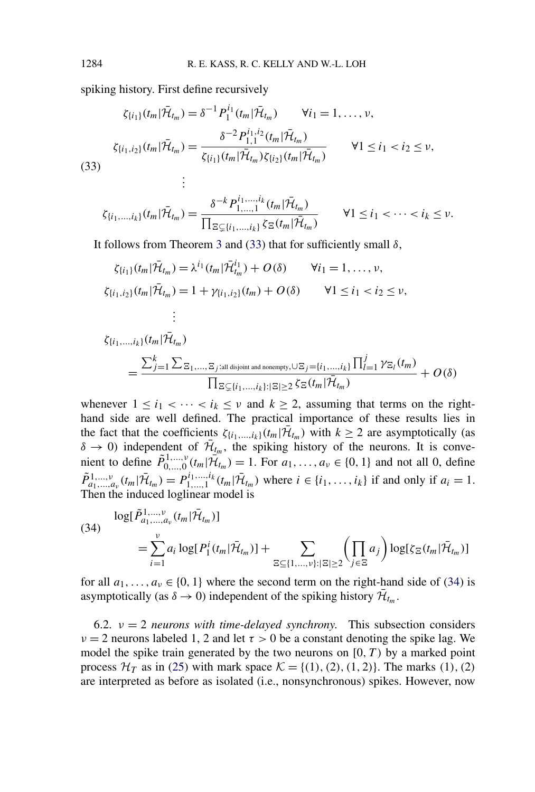spiking history. First define recursively

(33)  
\n
$$
\zeta_{\{i_1\}}(t_m|\bar{\mathcal{H}}_{t_m}) = \delta^{-1} P_1^{i_1}(t_m|\bar{\mathcal{H}}_{t_m}) \qquad \forall i_1 = 1, ..., \nu,
$$
\n
$$
\zeta_{\{i_1, i_2\}}(t_m|\bar{\mathcal{H}}_{t_m}) = \frac{\delta^{-2} P_{1,1}^{i_1, i_2}(t_m|\bar{\mathcal{H}}_{t_m})}{\zeta_{\{i_1\}}(t_m|\bar{\mathcal{H}}_{t_m})\zeta_{\{i_2\}}(t_m|\bar{\mathcal{H}}_{t_m})} \qquad \forall 1 \le i_1 < i_2 \le \nu,
$$
\n
$$
\vdots
$$

$$
\zeta_{\{i_1,\dots,i_k\}}(t_m|\bar{\mathcal{H}}_{t_m}) = \frac{\delta^{-k} P^{i_1,\dots,i_k}_{1,\dots,1}(t_m|\bar{\mathcal{H}}_{t_m})}{\prod_{\Xi \subsetneq \{i_1,\dots,i_k\}} \zeta_{\Xi}(t_m|\bar{\mathcal{H}}_{t_m})} \qquad \forall 1 \leq i_1 < \dots < i_k \leq \nu.
$$

It follows from Theorem [3](#page-21-0) and (33) that for sufficiently small *δ*,

$$
\zeta_{\{i_1\}}(t_m | \mathcal{H}_{t_m}) = \lambda^{i_1}(t_m | \mathcal{H}_{t_m}^{i_1}) + O(\delta) \qquad \forall i_1 = 1, ..., \nu,
$$
  
\n
$$
\zeta_{\{i_1, i_2\}}(t_m | \mathcal{H}_{t_m}) = 1 + \gamma_{\{i_1, i_2\}}(t_m) + O(\delta) \qquad \forall 1 \le i_1 < i_2 \le \nu,
$$
  
\n
$$
\vdots
$$
  
\n
$$
\zeta_{\{i_1, ..., i_k\}}(t_m | \mathcal{H}_{t_m})
$$
  
\n
$$
= \frac{\sum_{j=1}^k \sum_{\Xi_1, ..., \Xi_j \text{ call disjoint and nonempty}, \cup \Xi_j = \{i_1, ..., i_k\}} \prod_{l=1}^j \gamma_{\Xi_l}(t_m)}{\prod_{\Xi \subsetneq \{i_1, ..., i_k\} : |\Xi| \ge 2} \zeta_{\Xi}(t_m | \mathcal{H}_{t_m})} + O(\delta)
$$

whenever  $1 \le i_1 < \cdots < i_k \le \nu$  and  $k \ge 2$ , assuming that terms on the righthand side are well defined. The practical importance of these results lies in the fact that the coefficients  $\zeta_{\{i_1,\dots,i_k\}}(t_m|\mathcal{H}_{t_m})$  with  $k \geq 2$  are asymptotically (as  $\delta \to 0$ ) independent of  $\bar{\mathcal{H}}_{t_m}$ , the spiking history of the neurons. It is convenient to define  $\tilde{P}_{0,...,0}^{1,...,v}(t_m | \tilde{\mathcal{H}}_{t_m}) = 1$ . For  $a_1,...,a_v \in \{0, 1\}$  and not all 0, define  $\tilde{P}^{1, ..., \nu}_{a_1, ..., a_{\nu}}(t_m | \tilde{\mathcal{H}}_{t_m}) = P^{i_1, ..., i_k}_{1, ..., 1}(t_m | \tilde{\mathcal{H}}_{t_m})$  where  $i \in \{i_1, ..., i_k\}$  if and only if  $a_i = 1$ . Then the induced loglinear model is

(34) 
$$
\log[\tilde{P}_{a_1,...,a_v}^{1,...,v}(t_m|\bar{\mathcal{H}}_{t_m})]
$$
  
= 
$$
\sum_{i=1}^{v} a_i \log[P_1^i(t_m|\bar{\mathcal{H}}_{t_m})] + \sum_{\Xi \subseteq \{1,...,v\}: |\Xi| \ge 2} \left(\prod_{j \in \Xi} a_j\right) \log[\zeta_{\Xi}(t_m|\bar{\mathcal{H}}_{t_m})]
$$

for all  $a_1, \ldots, a_\nu \in \{0, 1\}$  where the second term on the right-hand side of (34) is asymptotically (as  $\delta \rightarrow 0$ ) independent of the spiking history  $\mathcal{H}_{t_m}$ .

6.2.  $v = 2$  *neurons with time-delayed synchrony*. This subsection considers  $\nu = 2$  neurons labeled 1, 2 and let  $\tau > 0$  be a constant denoting the spike lag. We model the spike train generated by the two neurons on [0*,T)* by a marked point process  $H_T$  as in [\(25\)](#page-16-0) with mark space  $K = \{(1), (2), (1, 2)\}$ . The marks (1), (2) are interpreted as before as isolated (i.e., nonsynchronous) spikes. However, now

<span id="page-22-0"></span>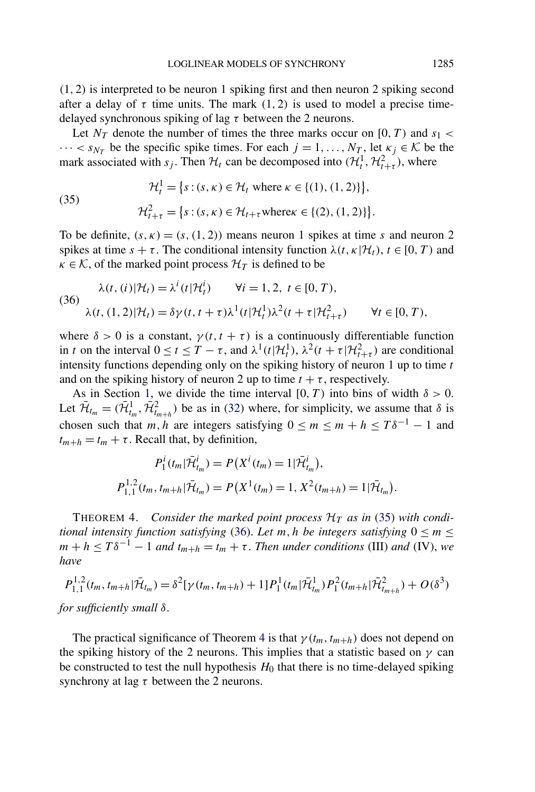<span id="page-23-0"></span>*(*1*,* 2*)* is interpreted to be neuron 1 spiking first and then neuron 2 spiking second after a delay of  $\tau$  time units. The mark  $(1, 2)$  is used to model a precise timedelayed synchronous spiking of lag *τ* between the 2 neurons.

Let  $N_T$  denote the number of times the three marks occur on [0, T) and  $s_1$  <  $\cdots < s_{N_T}$  be the specific spike times. For each  $j = 1, \ldots, N_T$ , let  $\kappa_j \in \mathcal{K}$  be the mark associated with *s<sub>j</sub>*. Then  $\mathcal{H}_t$  can be decomposed into  $(\mathcal{H}_t^1, \mathcal{H}_{t+\tau}^2)$ , where

(35) 
$$
\mathcal{H}_t^1 = \{s : (s, \kappa) \in \mathcal{H}_t \text{ where } \kappa \in \{(1), (1, 2)\}\},\newline \mathcal{H}_{t+\tau}^2 = \{s : (s, \kappa) \in \mathcal{H}_{t+\tau} \text{ where } \kappa \in \{(2), (1, 2)\}\}.
$$

To be definite,  $(s, \kappa) = (s, (1, 2))$  means neuron 1 spikes at time *s* and neuron 2 spikes at time  $s + \tau$ . The conditional intensity function  $\lambda(t, \kappa | \mathcal{H}_t)$ ,  $t \in [0, T)$  and  $\kappa \in \mathcal{K}$ , of the marked point process  $\mathcal{H}_T$  is defined to be

(36)  
\n
$$
\lambda(t, (i)|\mathcal{H}_t) = \lambda^i(t|\mathcal{H}_t^i) \qquad \forall i = 1, 2, t \in [0, T),
$$
\n
$$
\lambda(t, (1, 2)|\mathcal{H}_t) = \delta \gamma(t, t + \tau) \lambda^1(t|\mathcal{H}_t^1) \lambda^2(t + \tau|\mathcal{H}_{t+\tau}^2) \qquad \forall t \in [0, T),
$$

where  $\delta > 0$  is a constant,  $\gamma(t, t + \tau)$  is a continuously differentiable function in *t* on the interval  $0 \le t \le T - \tau$ , and  $\lambda^1(t|\mathcal{H}_t^1)$ ,  $\lambda^2(t+\tau|\mathcal{H}_{t+\tau}^2)$  are conditional intensity functions depending only on the spiking history of neuron 1 up to time *t* and on the spiking history of neuron 2 up to time  $t + \tau$ , respectively.

As in Section [1,](#page-0-0) we divide the time interval  $[0, T)$  into bins of width  $\delta > 0$ . Let  $\bar{\mathcal{H}}_{t_m} = (\bar{\mathcal{H}}_{t_m}^1, \bar{\mathcal{H}}_{t_{m+h}}^2)$  be as in [\(32\)](#page-20-0) where, for simplicity, we assume that  $\delta$  is chosen such that *m, h* are integers satisfying  $0 \le m \le m + h \le T\delta^{-1} - 1$  and  $t_{m+h} = t_m + \tau$ . Recall that, by definition,

$$
P_1^i(t_m|\bar{\mathcal{H}}_{t_m}^i) = P(X^i(t_m) = 1|\bar{\mathcal{H}}_{t_m}^i),
$$
  

$$
P_{1,1}^{1,2}(t_m, t_{m+h}|\bar{\mathcal{H}}_{t_m}) = P(X^1(t_m) = 1, X^2(t_{m+h}) = 1|\bar{\mathcal{H}}_{t_m}).
$$

THEOREM 4. *Consider the marked point process*  $H_T$  *as in* (35) with condi*tional intensity function satisfying* (36). Let *m*, *h be integers satisfying*  $0 \le m \le$  $m + h \leq T\delta^{-1} - 1$  *and*  $t_{m+h} = t_m + \tau$ . *Then under conditions* (III) *and* (IV), *we have*

$$
P_{1,1}^{1,2}(t_m, t_{m+h}|\mathcal{H}_{t_m}) = \delta^2[\gamma(t_m, t_{m+h}) + 1]P_1^1(t_m|\mathcal{H}_{t_m}^1)P_1^2(t_{m+h}|\mathcal{H}_{t_{m+h}}^2) + O(\delta^3)
$$

*for sufficiently small δ*.

The practical significance of Theorem 4 is that  $\gamma(t_m, t_{m+h})$  does not depend on the spiking history of the 2 neurons. This implies that a statistic based on  $\gamma$  can be constructed to test the null hypothesis  $H_0$  that there is no time-delayed spiking synchrony at lag  $\tau$  between the 2 neurons.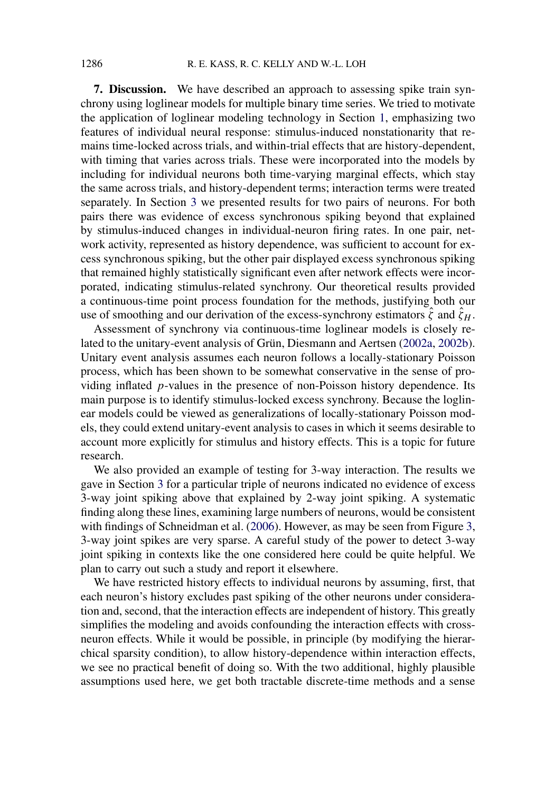<span id="page-24-0"></span>**7. Discussion.** We have described an approach to assessing spike train synchrony using loglinear models for multiple binary time series. We tried to motivate the application of loglinear modeling technology in Section [1,](#page-0-0) emphasizing two features of individual neural response: stimulus-induced nonstationarity that remains time-locked across trials, and within-trial effects that are history-dependent, with timing that varies across trials. These were incorporated into the models by including for individual neurons both time-varying marginal effects, which stay the same across trials, and history-dependent terms; interaction terms were treated separately. In Section [3](#page-12-0) we presented results for two pairs of neurons. For both pairs there was evidence of excess synchronous spiking beyond that explained by stimulus-induced changes in individual-neuron firing rates. In one pair, network activity, represented as history dependence, was sufficient to account for excess synchronous spiking, but the other pair displayed excess synchronous spiking that remained highly statistically significant even after network effects were incorporated, indicating stimulus-related synchrony. Our theoretical results provided a continuous-time point process foundation for the methods, justifying both our use of smoothing and our derivation of the excess-synchrony estimators  $\hat{\zeta}$  and  $\hat{\zeta}_H$ .

Assessment of synchrony via continuous-time loglinear models is closely related to the unitary-event analysis of Grün, Diesmann and Aertsen [\(2002a,](#page-29-0) [2002b\)](#page-29-0). Unitary event analysis assumes each neuron follows a locally-stationary Poisson process, which has been shown to be somewhat conservative in the sense of providing inflated *p*-values in the presence of non-Poisson history dependence. Its main purpose is to identify stimulus-locked excess synchrony. Because the loglinear models could be viewed as generalizations of locally-stationary Poisson models, they could extend unitary-event analysis to cases in which it seems desirable to account more explicitly for stimulus and history effects. This is a topic for future research.

We also provided an example of testing for 3-way interaction. The results we gave in Section [3](#page-12-0) for a particular triple of neurons indicated no evidence of excess 3-way joint spiking above that explained by 2-way joint spiking. A systematic finding along these lines, examining large numbers of neurons, would be consistent with findings of Schneidman et al. [\(2006\)](#page-29-0). However, as may be seen from Figure [3,](#page-15-0) 3-way joint spikes are very sparse. A careful study of the power to detect 3-way joint spiking in contexts like the one considered here could be quite helpful. We plan to carry out such a study and report it elsewhere.

We have restricted history effects to individual neurons by assuming, first, that each neuron's history excludes past spiking of the other neurons under consideration and, second, that the interaction effects are independent of history. This greatly simplifies the modeling and avoids confounding the interaction effects with crossneuron effects. While it would be possible, in principle (by modifying the hierarchical sparsity condition), to allow history-dependence within interaction effects, we see no practical benefit of doing so. With the two additional, highly plausible assumptions used here, we get both tractable discrete-time methods and a sense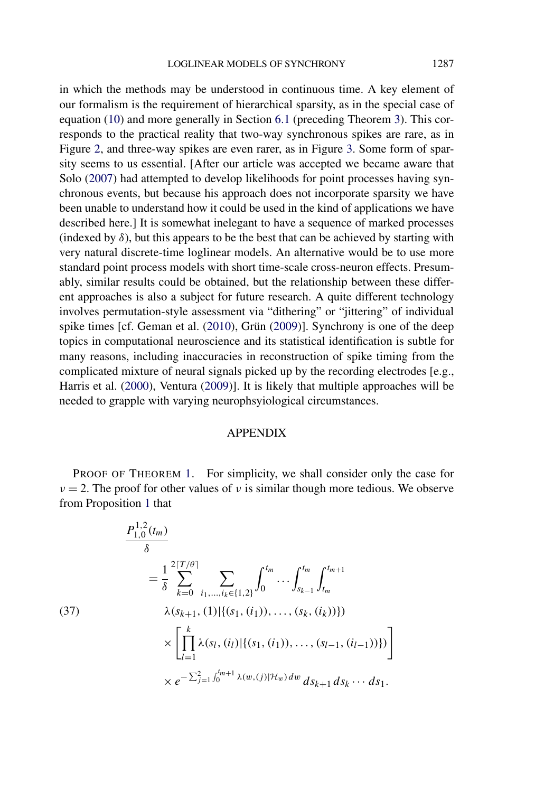<span id="page-25-0"></span>in which the methods may be understood in continuous time. A key element of our formalism is the requirement of hierarchical sparsity, as in the special case of equation [\(10\)](#page-8-0) and more generally in Section [6.1](#page-19-0) (preceding Theorem [3\)](#page-21-0). This corresponds to the practical reality that two-way synchronous spikes are rare, as in Figure [2,](#page-13-0) and three-way spikes are even rarer, as in Figure [3.](#page-15-0) Some form of sparsity seems to us essential. [After our article was accepted we became aware that Solo [\(2007\)](#page-30-0) had attempted to develop likelihoods for point processes having synchronous events, but because his approach does not incorporate sparsity we have been unable to understand how it could be used in the kind of applications we have described here.] It is somewhat inelegant to have a sequence of marked processes (indexed by  $\delta$ ), but this appears to be the best that can be achieved by starting with very natural discrete-time loglinear models. An alternative would be to use more standard point process models with short time-scale cross-neuron effects. Presumably, similar results could be obtained, but the relationship between these different approaches is also a subject for future research. A quite different technology involves permutation-style assessment via "dithering" or "jittering" of individual spike times [cf. Geman et al. [\(2010\)](#page-29-0), Grün [\(2009\)](#page-29-0)]. Synchrony is one of the deep topics in computational neuroscience and its statistical identification is subtle for many reasons, including inaccuracies in reconstruction of spike timing from the complicated mixture of neural signals picked up by the recording electrodes [e.g., Harris et al. [\(2000\)](#page-29-0), Ventura [\(2009\)](#page-30-0)]. It is likely that multiple approaches will be needed to grapple with varying neurophsyiological circumstances.

### APPENDIX

PROOF OF THEOREM [1.](#page-17-0) For simplicity, we shall consider only the case for  $\nu = 2$ . The proof for other values of  $\nu$  is similar though more tedious. We observe from Proposition [1](#page-16-0) that

$$
\frac{P_{1,0}^{1,2}(t_m)}{\delta} = \frac{1}{\delta} \sum_{k=0}^{2\lceil T/\theta \rceil} \sum_{i_1,\dots,i_k \in \{1,2\}} \int_0^{t_m} \dots \int_{s_{k-1}}^{t_m} \int_{t_m}^{t_{m+1}} d^{(n+1)}(37)
$$
\n
$$
\lambda(s_{k+1}, (1) | \{(s_1, (i_1)), \dots, (s_k, (i_k))\})
$$
\n
$$
\times \left[ \prod_{l=1}^k \lambda(s_l, (i_l) | \{(s_1, (i_1)), \dots, (s_{l-1}, (i_{l-1}))\}) \right]
$$
\n
$$
\times e^{-\sum_{j=1}^2 \int_0^{t_{m+1}} \lambda(w,(j) | \mathcal{H}_w) dw} ds_{k+1} ds_k \cdots ds_1.
$$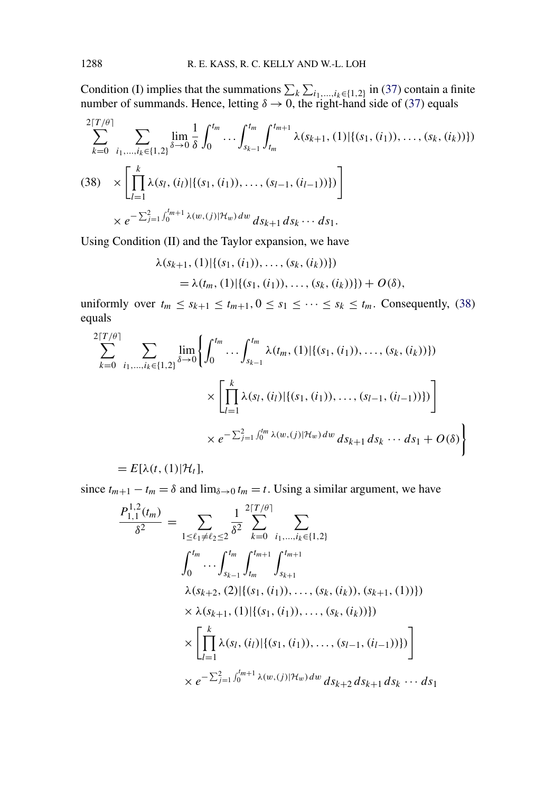Condition (I) implies that the summations  $\sum_k \sum_{i_1,\dots,i_k \in \{1,2\}}$  in [\(37\)](#page-25-0) contain a finite number of summands. Hence, letting  $\delta \rightarrow 0$ , the right-hand side of [\(37\)](#page-25-0) equals

$$
\sum_{k=0}^{2\lceil T/\theta \rceil} \sum_{i_1,\dots,i_k \in \{1,2\}} \lim_{\delta \to 0} \frac{1}{\delta} \int_0^{t_m} \dots \int_{s_{k-1}}^{t_m} \int_{t_m}^{t_{m+1}} \lambda(s_{k+1}, (1) | \{(s_1, (i_1)), \dots, (s_k, (i_k))\})
$$
  
(38) 
$$
\times \left[ \prod_{l=1}^k \lambda(s_l, (i_l) | \{(s_1, (i_1)), \dots, (s_{l-1}, (i_{l-1}))\}) \right]
$$

$$
\times e^{-\sum_{j=1}^2 \int_0^{t_m+1} \lambda(w, (j) | \mathcal{H}_w) dw} ds_{k+1} ds_k \cdots ds_1.
$$

Using Condition (II) and the Taylor expansion, we have

$$
\lambda(s_{k+1}, (1)|\{(s_1, (i_1)), \ldots, (s_k, (i_k))\})
$$
  
=  $\lambda(t_m, (1)|\{(s_1, (i_1)), \ldots, (s_k, (i_k))\}) + O(\delta),$ 

uniformly over  $t_m \leq s_{k+1} \leq t_{m+1}$ ,  $0 \leq s_1 \leq \cdots \leq s_k \leq t_m$ . Consequently, (38) equals

$$
\sum_{k=0}^{2\lceil T/\theta \rceil} \sum_{i_1,\dots,i_k \in \{1,2\}} \lim_{\delta \to 0} \left\{ \int_0^{t_m} \dots \int_{s_{k-1}}^{t_m} \lambda(t_m, (1) | \{(s_1, (i_1)), \dots, (s_k, (i_k))\}) \times \left[ \prod_{l=1}^k \lambda(s_l, (i_l) | \{(s_1, (i_1)), \dots, (s_{l-1}, (i_{l-1}))\}) \right] \times e^{-\sum_{j=1}^2 \int_0^{t_m} \lambda(w, (j) | \mathcal{H}_w) dw} ds_{k+1} ds_k \dots ds_1 + O(\delta) \right\}
$$

$$
= E[\lambda(t,(1)|\mathcal{H}_t],
$$

since  $t_{m+1} - t_m = \delta$  and  $\lim_{\delta \to 0} t_m = t$ . Using a similar argument, we have

$$
\frac{P_{1,1}^{1,2}(t_m)}{\delta^2} = \sum_{1 \le \ell_1 \ne \ell_2 \le 2} \frac{1}{\delta^2} \sum_{k=0}^{2\lceil T/\theta \rceil} \sum_{i_1, \dots, i_k \in \{1, 2\}}
$$
  

$$
\int_0^{t_m} \dots \int_{s_{k-1}}^{t_m} \int_{t_m}^{t_{m+1}} \int_{s_{k+1}}^{t_{m+1}} d_{s_{k+1}}
$$
  

$$
\lambda(s_{k+2}, (2) | \{(s_1, (i_1)), \dots, (s_k, (i_k)), (s_{k+1}, (1))\})
$$
  

$$
\times \lambda(s_{k+1}, (1) | \{(s_1, (i_1)), \dots, (s_k, (i_k))\})
$$
  

$$
\times \left[ \prod_{l=1}^k \lambda(s_l, (i_l) | \{(s_1, (i_1)), \dots, (s_{l-1}, (i_{l-1}))\}) \right]
$$
  

$$
\times e^{-\sum_{j=1}^2 \int_0^{t_{m+1}} \lambda(w, (j) | \mathcal{H}_w) dw} ds_{k+2} ds_{k+1} ds_k \cdots ds_1
$$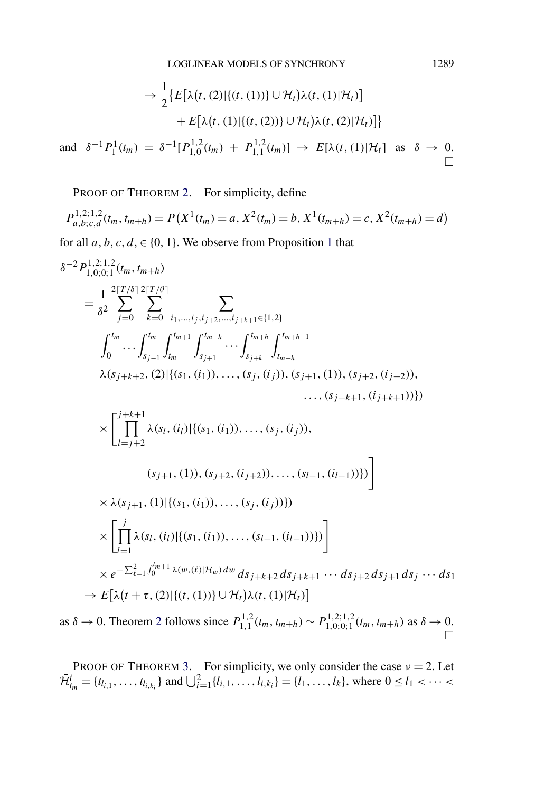$$
\rightarrow \frac{1}{2} \{ E[\lambda(t, (2)|\{(t, (1))\} \cup \mathcal{H}_t) \lambda(t, (1)|\mathcal{H}_t) ]+ E[\lambda(t, (1)|\{(t, (2))\} \cup \mathcal{H}_t) \lambda(t, (2)|\mathcal{H}_t) ] \}
$$
  
and  $\delta^{-1} P_1^1(t_m) = \delta^{-1} [P_{1,0}^{1,2}(t_m) + P_{1,1}^{1,2}(t_m) ] \rightarrow E[\lambda(t, (1)|\mathcal{H}_t] \text{ as } \delta \rightarrow 0.$ 

PROOF OF THEOREM [2.](#page-19-0) For simplicity, define

$$
P_{a,b;c,d}^{1,2;1,2}(t_m,t_{m+h}) = P(X^1(t_m) = a, X^2(t_m) = b, X^1(t_{m+h}) = c, X^2(t_{m+h}) = d)
$$

for all  $a, b, c, d \in \{0, 1\}$  $a, b, c, d \in \{0, 1\}$  $a, b, c, d \in \{0, 1\}$ . We observe from Proposition 1 that

$$
\delta^{-2} P_{1,0;0;1}^{1,2;1,2}(t_m, t_{m+h})
$$
\n
$$
= \frac{1}{\delta^2} \sum_{j=0}^{2[T/\delta]} \sum_{k=0}^{T/\delta} \sum_{i_1,\dots,i_j,i_{j+2},\dots,i_{j+k+1} \in \{1,2\}}
$$
\n
$$
\int_0^{t_m} \cdots \int_{s_{j-1}}^{t_m} \int_{t_m}^{t_{m+1}} \int_{s_{j+1}}^{t_{m+h}} \cdots \int_{s_{j+k}}^{t_{m+h}} \int_{t_{m+h}}^{t_{m+h+1}} \lambda(s_{j+k+2}, (2) | \{(s_1, (i_1)), \dots, (s_j, (i_j)), (s_{j+1}, (1)), (s_{j+2}, (i_{j+2})), \dots, (s_{j+k+1}, (i_{j+k+1}))\})
$$
\n
$$
\times \left[ \prod_{l=j+2}^{j+k+1} \lambda(s_l, (i_l) | \{(s_1, (i_1)), \dots, (s_j, (i_j)), \dots, (s_{l-1}, (i_{l-1}))\}) \right]
$$
\n
$$
\times \lambda(s_{j+1}, (1) | \{(s_1, (i_1)), \dots, (s_j, (i_j))\})
$$
\n
$$
\times \left[ \prod_{l=1}^{j} \lambda(s_l, (i_l) | \{(s_1, (i_1)), \dots, (s_{l-1}, (i_{l-1}))\}) \right]
$$
\n
$$
\times e^{-\sum_{l=1}^{2} \int_{0}^{t_m+1} \lambda(w, (\ell) | \mathcal{H}_w) dw} ds_{j+k+2} ds_{j+k+1} \cdots ds_{j+2} ds_{j+1} ds_j \cdots ds_1
$$
\n
$$
\rightarrow E[\lambda(t + \tau, (2) | \{(t, (1))\} \cup \mathcal{H}_t) \lambda(t, (1) | \mathcal{H}_t)]
$$
\nas  $\delta \rightarrow 0$ . Theorem 2 follows since  $P_{1,1}^{1,2}(t_m, t_{m+h}) \sim P_{1,0;0;1}^{1,2;1,2}(t_m, t_{m+h})$  as  $\delta \rightarrow 0$ .

PROOF OF THEOREM [3.](#page-21-0) For simplicity, we only consider the case  $v = 2$ . Let  $\bar{\mathcal{H}}_{t_m}^i = \{t_{l_{i,1}}, \ldots, t_{l_{i,k_i}}\}$  and  $\bigcup_{i=1}^2 \{l_{i,1}, \ldots, l_{i,k_i}\} = \{l_1, \ldots, l_k\}$ , where  $0 \le l_1 < \cdots < l_k$ 

 $\Box$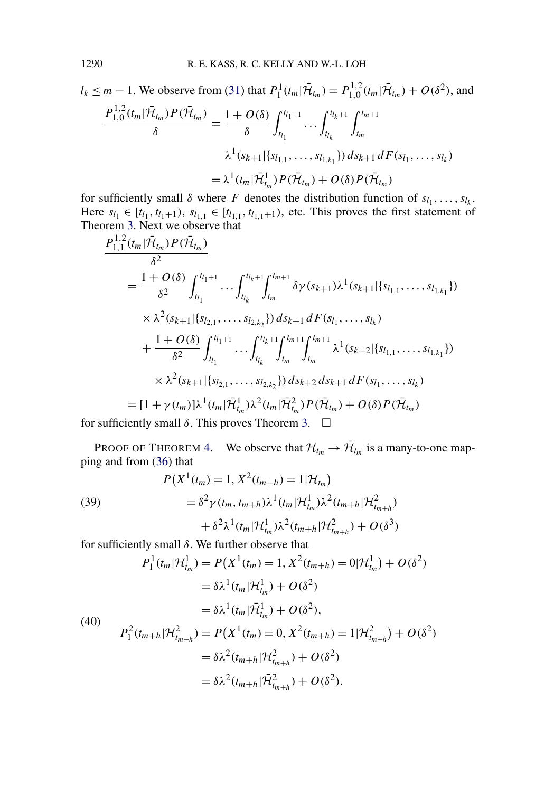$l_k \leq m - 1$ . We observe from [\(31\)](#page-20-0) that  $P_1^1(t_m | \bar{\mathcal{H}}_{t_m}) = P_{1,0}^{1,2}(t_m | \bar{\mathcal{H}}_{t_m}) + O(\delta^2)$ , and  $\frac{P_{1,0}^{1,2}(t_m|\bar{\mathcal{H}}_{t_m})P(\bar{\mathcal{H}}_{t_m})}{\delta} = \frac{1+O(\delta)}{\delta}$  $\int_0^{t_l}$ *tl* 1  $\cdots$   $\int_0^{t_l} k^{1}$ *tl k*  $\int^{t_{m+1}}$ *tm*  $\lambda^1(s_{k+1} | \{s_{l_{1,1}}, \ldots, s_{l_{1,k_1}}\}) ds_{k+1} dF(s_{l_1}, \ldots, s_{l_k})$  $= \lambda^1(t_m | \mathcal{\bar{H}}_{t_m}^1) P(\mathcal{\bar{H}}_{t_m}) + O(\delta) P(\mathcal{\bar{H}}_{t_m})$ 

for sufficiently small  $\delta$  where *F* denotes the distribution function of  $s_{l_1}, \ldots, s_{l_k}$ . Here  $s_{l_1} \in [t_{l_1}, t_{l_1+1}), s_{l_1,1} \in [t_{l_1,1}, t_{l_1,1+1}),$  etc. This proves the first statement of Theorem [3.](#page-21-0) Next we observe that

$$
\frac{P_{1,1}^{1,2}(t_m|\bar{\mathcal{H}}_{t_m})P(\bar{\mathcal{H}}_{t_m})}{\delta^2}
$$
\n
$$
= \frac{1+O(\delta)}{\delta^2} \int_{t_{l_1}}^{t_{l_1+1}} \cdots \int_{t_{l_k}}^{t_{l_k+1}} \int_{t_m}^{t_{m+1}} \delta \gamma(s_{k+1}) \lambda^1(s_{k+1}|\{s_{l_{1,1}}, \ldots, s_{l_{1,k_1}}\})
$$
\n
$$
\times \lambda^2(s_{k+1}|\{s_{l_{2,1}}, \ldots, s_{l_{2,k_2}}\}) ds_{k+1} dF(s_{l_1}, \ldots, s_{l_k})
$$
\n
$$
+ \frac{1+O(\delta)}{\delta^2} \int_{t_{l_1}}^{t_{l_1+1}} \cdots \int_{t_{l_k}}^{t_{l_k+1}} \int_{t_m}^{t_{m+1}} \int_{t_m}^{t_{m+1}} \lambda^1(s_{k+2}|\{s_{l_{1,1}}, \ldots, s_{l_{1,k_1}}\})
$$
\n
$$
\times \lambda^2(s_{k+1}|\{s_{l_{2,1}}, \ldots, s_{l_{2,k_2}}\}) ds_{k+2} ds_{k+1} dF(s_{l_1}, \ldots, s_{l_k})
$$
\n
$$
= [1 + \gamma(t_m)]\lambda^1(t_m|\bar{\mathcal{H}}_{t_m}^1) \lambda^2(t_m|\bar{\mathcal{H}}_{t_m}^2) P(\bar{\mathcal{H}}_{t_m}) + O(\delta) P(\bar{\mathcal{H}}_{t_m})
$$

for sufficiently small  $\delta$ . This proves Theorem [3.](#page-21-0)  $\Box$ 

PROOF OF THEOREM [4.](#page-23-0) We observe that  $\mathcal{H}_{t_m} \to \bar{\mathcal{H}}_{t_m}$  is a many-to-one mapping and from [\(36\)](#page-23-0) that

(39)  
\n
$$
P(X^{1}(t_{m}) = 1, X^{2}(t_{m+h}) = 1 | \mathcal{H}_{t_{m}})
$$
\n
$$
= \delta^{2} \gamma (t_{m}, t_{m+h}) \lambda^{1} (t_{m} | \mathcal{H}_{t_{m}}^{1}) \lambda^{2} (t_{m+h} | \mathcal{H}_{t_{m+h}}^{2})
$$
\n
$$
+ \delta^{2} \lambda^{1} (t_{m} | \mathcal{H}_{t_{m}}^{1}) \lambda^{2} (t_{m+h} | \mathcal{H}_{t_{m+h}}^{2}) + O(\delta^{3})
$$

for sufficiently small *δ*. We further observe that

$$
P_1^1(t_m|\mathcal{H}_{t_m}^1) = P(X^1(t_m) = 1, X^2(t_{m+h}) = 0|\mathcal{H}_{t_m}^1) + O(\delta^2)
$$
  
\n
$$
= \delta \lambda^1(t_m|\mathcal{H}_{t_m}^1) + O(\delta^2)
$$
  
\n
$$
= \delta \lambda^1(t_m|\bar{\mathcal{H}}_{t_m}^1) + O(\delta^2),
$$
  
\n(40)  
\n
$$
P_1^2(t_{m+h}|\mathcal{H}_{t_{m+h}}^2) = P(X^1(t_m) = 0, X^2(t_{m+h}) = 1|\mathcal{H}_{t_{m+h}}^2) + O(\delta^2)
$$
  
\n
$$
= \delta \lambda^2(t_{m+h}|\mathcal{H}_{t_{m+h}}^2) + O(\delta^2)
$$
  
\n
$$
= \delta \lambda^2(t_{m+h}|\bar{\mathcal{H}}_{t_{m+h}}^2) + O(\delta^2).
$$

<span id="page-28-0"></span>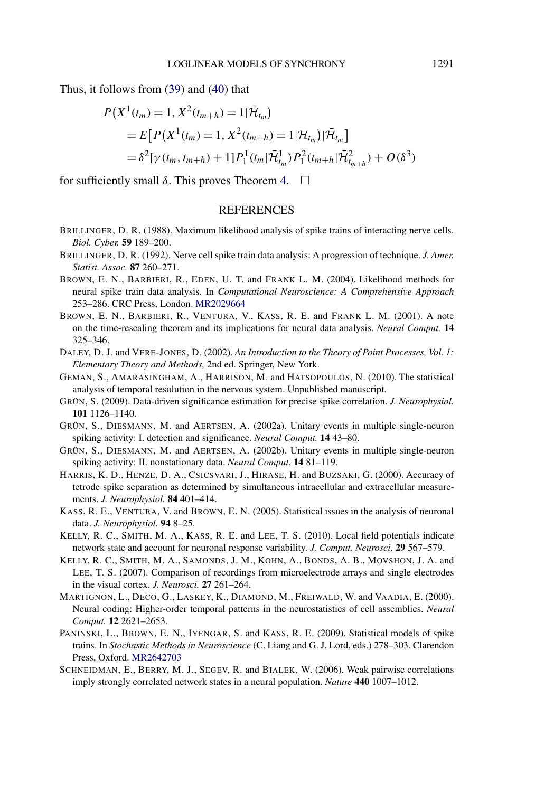<span id="page-29-0"></span>Thus, it follows from [\(39\)](#page-28-0) and [\(40\)](#page-28-0) that

$$
P(X^1(t_m) = 1, X^2(t_{m+h}) = 1 | \bar{\mathcal{H}}_{t_m})
$$
  
=  $E[P(X^1(t_m) = 1, X^2(t_{m+h}) = 1 | \mathcal{H}_{t_m}) | \bar{\mathcal{H}}_{t_m}]$   
=  $\delta^2[\gamma(t_m, t_{m+h}) + 1] P_1^1(t_m | \bar{\mathcal{H}}_{t_m}^1) P_1^2(t_{m+h} | \bar{\mathcal{H}}_{t_{m+h}}^2) + O(\delta^3)$ 

for sufficiently small  $\delta$ . This proves Theorem [4.](#page-23-0)  $\Box$ 

### REFERENCES

- BRILLINGER, D. R. (1988). Maximum likelihood analysis of spike trains of interacting nerve cells. *Biol. Cyber.* **59** 189–200.
- BRILLINGER, D. R. (1992). Nerve cell spike train data analysis: A progression of technique. *J. Amer. Statist. Assoc.* **87** 260–271.
- BROWN, E. N., BARBIERI, R., EDEN, U. T. and FRANK L. M. (2004). Likelihood methods for neural spike train data analysis. In *Computational Neuroscience: A Comprehensive Approach* 253–286. CRC Press, London. [MR2029664](http://www.ams.org/mathscinet-getitem?mr=2029664)
- BROWN, E. N., BARBIERI, R., VENTURA, V., KASS, R. E. and FRANK L. M. (2001). A note on the time-rescaling theorem and its implications for neural data analysis. *Neural Comput.* **14** 325–346.
- DALEY, D. J. and VERE-JONES, D. (2002). *An Introduction to the Theory of Point Processes, Vol. 1: Elementary Theory and Methods,* 2nd ed. Springer, New York.
- GEMAN, S., AMARASINGHAM, A., HARRISON, M. and HATSOPOULOS, N. (2010). The statistical analysis of temporal resolution in the nervous system. Unpublished manuscript.
- GRÜN, S. (2009). Data-driven significance estimation for precise spike correlation. *J. Neurophysiol.* **101** 1126–1140.
- GRÜN, S., DIESMANN, M. and AERTSEN, A. (2002a). Unitary events in multiple single-neuron spiking activity: I. detection and significance. *Neural Comput.* **14** 43–80.
- GRÜN, S., DIESMANN, M. and AERTSEN, A. (2002b). Unitary events in multiple single-neuron spiking activity: II. nonstationary data. *Neural Comput.* **14** 81–119.
- HARRIS, K. D., HENZE, D. A., CSICSVARI, J., HIRASE, H. and BUZSAKI, G. (2000). Accuracy of tetrode spike separation as determined by simultaneous intracellular and extracellular measurements. *J. Neurophysiol.* **84** 401–414.
- KASS, R. E., VENTURA, V. and BROWN, E. N. (2005). Statistical issues in the analysis of neuronal data. *J. Neurophysiol.* **94** 8–25.
- KELLY, R. C., SMITH, M. A., KASS, R. E. and LEE, T. S. (2010). Local field potentials indicate network state and account for neuronal response variability. *J. Comput. Neurosci.* **29** 567–579.
- KELLY, R. C., SMITH, M. A., SAMONDS, J. M., KOHN, A., BONDS, A. B., MOVSHON, J. A. and LEE, T. S. (2007). Comparison of recordings from microelectrode arrays and single electrodes in the visual cortex. *J. Neurosci.* **27** 261–264.
- MARTIGNON, L., DECO, G., LASKEY, K., DIAMOND, M., FREIWALD, W. and VAADIA, E. (2000). Neural coding: Higher-order temporal patterns in the neurostatistics of cell assemblies. *Neural Comput.* **12** 2621–2653.
- PANINSKI, L., BROWN, E. N., IYENGAR, S. and KASS, R. E. (2009). Statistical models of spike trains. In *Stochastic Methods in Neuroscience* (C. Liang and G. J. Lord, eds.) 278–303. Clarendon Press, Oxford. [MR2642703](http://www.ams.org/mathscinet-getitem?mr=2642703)
- SCHNEIDMAN, E., BERRY, M. J., SEGEV, R. and BIALEK, W. (2006). Weak pairwise correlations imply strongly correlated network states in a neural population. *Nature* **440** 1007–1012.